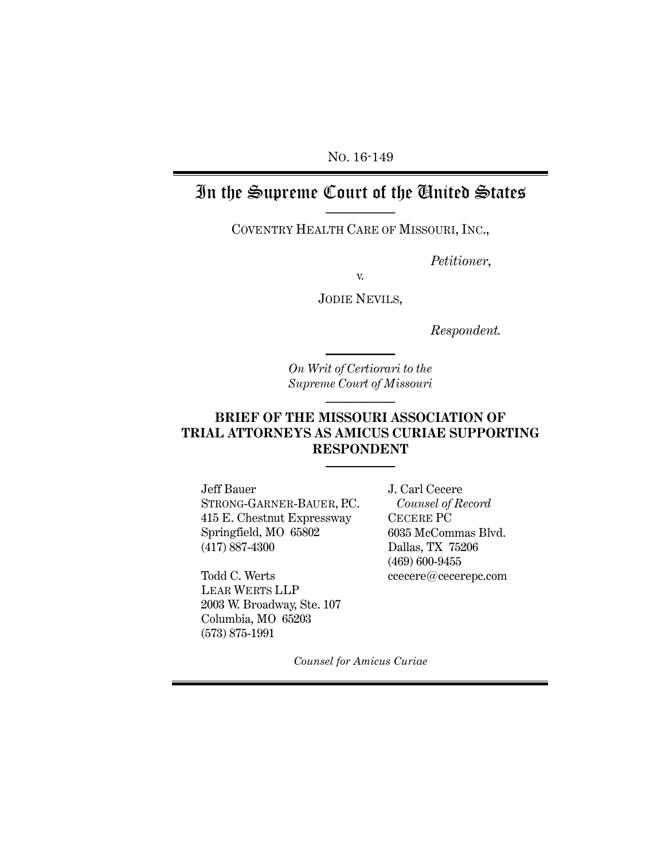NO. 16-149

### In the Supreme Court of the United States **\_\_\_\_\_\_\_\_\_\_\_\_\_\_\_\_**

COVENTRY HEALTH CARE OF MISSOURI, INC.,

*Petitioner*,

v.

JODIE NEVILS,

*Respondent.*

*On Writ of Certiorari to the Supreme Court of Missouri* **\_\_\_\_\_\_\_\_\_\_\_\_\_\_\_\_**

**\_\_\_\_\_\_\_\_\_\_\_\_\_\_\_\_**

### **BRIEF OF THE MISSOURI ASSOCIATION OF TRIAL ATTORNEYS AS AMICUS CURIAE SUPPORTING RESPONDENT**

**\_\_\_\_\_\_\_\_\_\_\_\_\_\_\_\_**

Jeff Bauer STRONG-GARNER-BAUER, P.C. 415 E. Chestnut Expressway Springfield, MO 65802 (417) 887-4300

Todd C. Werts LEAR WERTS LLP 2003 W. Broadway, Ste. 107 Columbia, MO 65203 (573) 875-1991

J. Carl Cecere *Counsel of Record* CECERE PC 6035 McCommas Blvd. Dallas, TX 75206 (469) 600-9455 [ccecere@cecerepc.com](mailto:ccecere@cecerepc.com)

*Counsel for Amicus Curiae*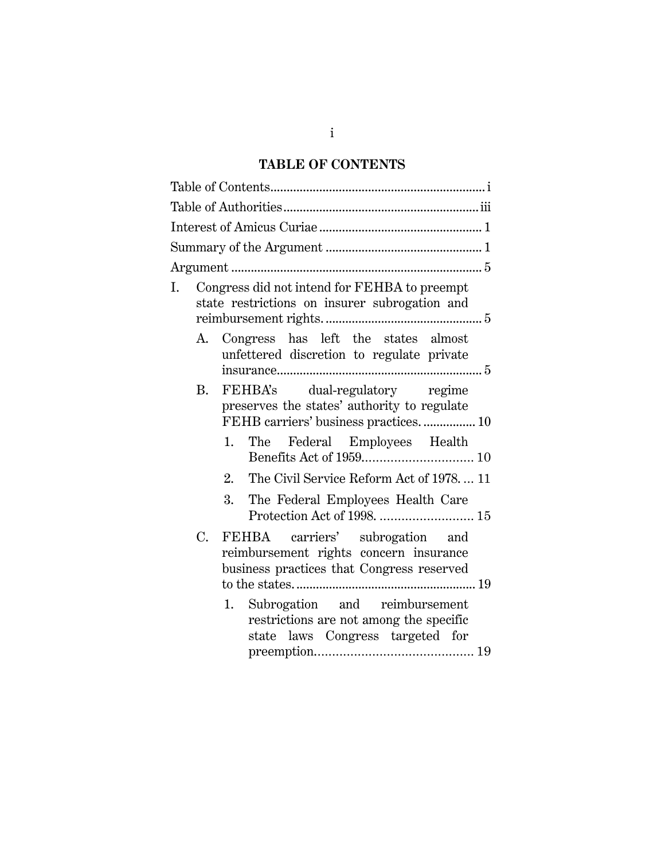## **TABLE OF CONTENTS**

<span id="page-1-0"></span>

| Ι. |             | Congress did not intend for FEHBA to preempt<br>state restrictions on insurer subrogation and                           |
|----|-------------|-------------------------------------------------------------------------------------------------------------------------|
|    |             | A. Congress has left the states almost<br>unfettered discretion to regulate private                                     |
|    | <b>B.</b>   | FEHBA's dual-regulatory regime<br>preserves the states' authority to regulate<br>FEHB carriers' business practices.  10 |
|    |             | The Federal Employees Health<br>1.                                                                                      |
|    |             | The Civil Service Reform Act of 1978 11<br>2.                                                                           |
|    |             | 3.<br>The Federal Employees Health Care                                                                                 |
|    | $C_{\cdot}$ | FEHBA carriers' subrogation and<br>reimbursement rights concern insurance<br>business practices that Congress reserved  |
|    |             | Subrogation and reimbursement<br>1.<br>restrictions are not among the specific<br>state laws Congress targeted for      |

i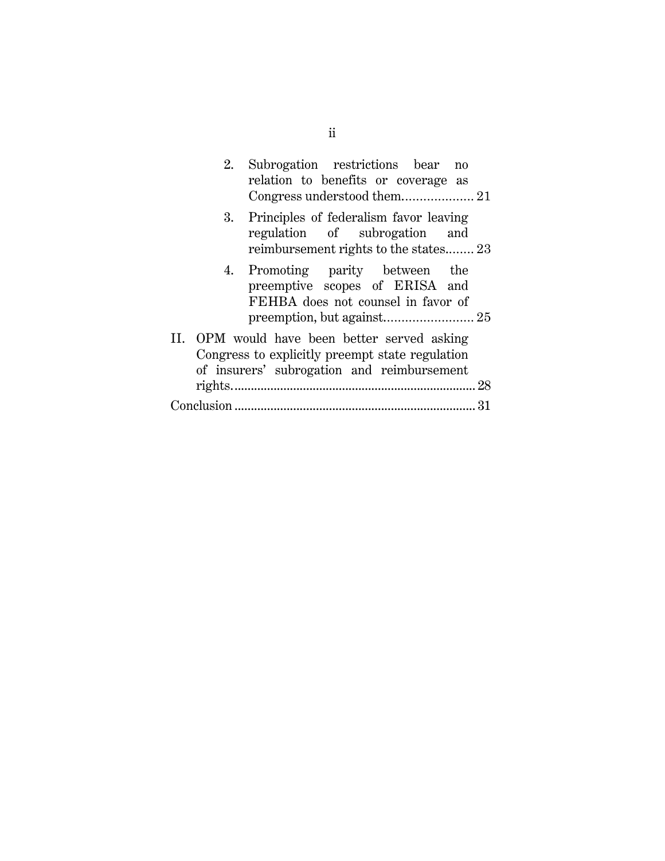| 2. | Subrogation restrictions bear<br>no<br>relation to benefits or coverage as<br>Congress understood them 21                                     |
|----|-----------------------------------------------------------------------------------------------------------------------------------------------|
|    | 3. Principles of federalism favor leaving<br>regulation of subrogation and<br>reimbursement rights to the states 23                           |
|    | 4. Promoting parity between the<br>preemptive scopes of ERISA and<br>FEHBA does not counsel in favor of                                       |
|    | II. OPM would have been better served asking<br>Congress to explicitly preempt state regulation<br>of insurers' subrogation and reimbursement |
|    |                                                                                                                                               |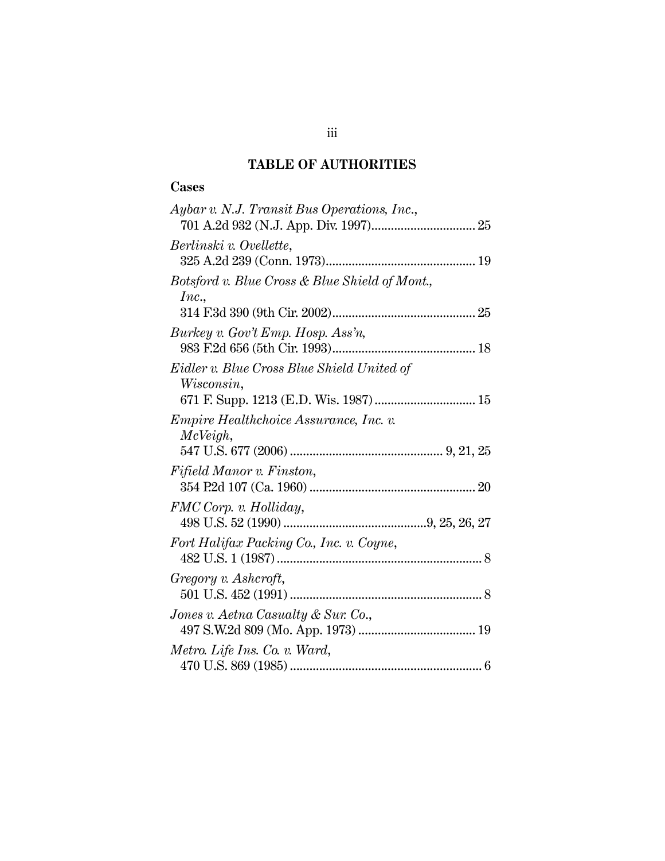## **TABLE OF AUTHORITIES**

## <span id="page-3-0"></span>**Cases**

| Aybar v. N.J. Transit Bus Operations, Inc.,                  |
|--------------------------------------------------------------|
| Berlinski v. Ovellette,                                      |
| Botsford v. Blue Cross & Blue Shield of Mont.,<br>Inc.,      |
| Burkey v. Gov't Emp. Hosp. Ass'n,                            |
| Eidler v. Blue Cross Blue Shield United of<br>Wisconsin,     |
| <i>Empire Healthchoice Assurance, Inc. v.</i><br>$McVeigh$ , |
| Fifield Manor v. Finston,                                    |
| FMC Corp. v. Holliday,                                       |
| Fort Halifax Packing Co., Inc. v. Coyne,                     |
| Gregory v. Ashcroft,                                         |
| Jones v. Aetna Casualty & Sur. Co.,                          |
| Metro. Life Ins. Co. v. Ward,                                |
|                                                              |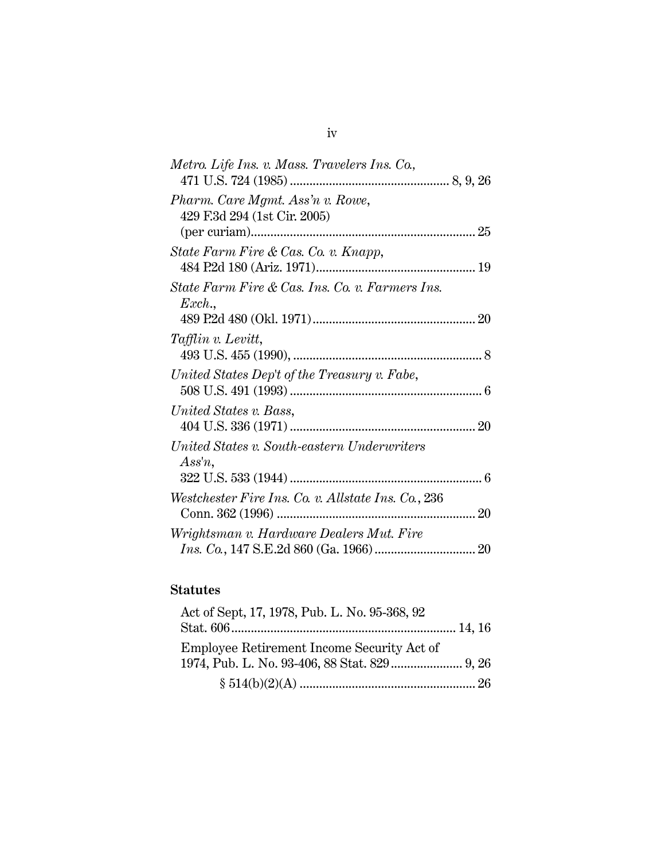| Metro. Life Ins. v. Mass. Travelers Ins. Co.,                        |  |
|----------------------------------------------------------------------|--|
| Pharm. Care Mgmt. Ass'n v. Rowe,<br>429 F.3d 294 (1st Cir. 2005)     |  |
|                                                                      |  |
| State Farm Fire & Cas. Co. v. Knapp,                                 |  |
| State Farm Fire & Cas. Ins. Co. v. Farmers Ins.<br>$\textit{Exch.},$ |  |
|                                                                      |  |
| Tafflin v. Levitt,                                                   |  |
| United States Dep't of the Treasury v. Fabe,                         |  |
| United States v. Bass,                                               |  |
| United States v. South-eastern Underwriters<br>$Assn$ ,              |  |
|                                                                      |  |
| Westchester Fire Ins. Co. v. Allstate Ins. Co., 236                  |  |
| Wrightsman v. Hardware Dealers Mut. Fire                             |  |
|                                                                      |  |

## **Statutes**

| Act of Sept, 17, 1978, Pub. L. No. 95-368, 92 |  |
|-----------------------------------------------|--|
|                                               |  |
| Employee Retirement Income Security Act of    |  |
|                                               |  |
|                                               |  |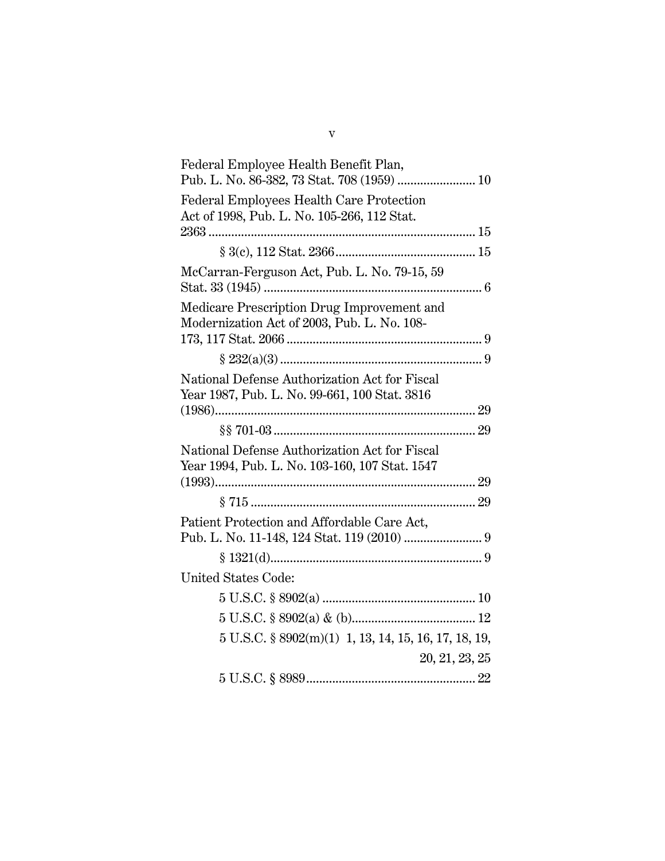| Federal Employee Health Benefit Plan,                           |  |
|-----------------------------------------------------------------|--|
| Pub. L. No. 86-382, 73 Stat. 708 (1959)  10                     |  |
| Federal Employees Health Care Protection                        |  |
| Act of 1998, Pub. L. No. 105-266, 112 Stat.                     |  |
|                                                                 |  |
|                                                                 |  |
| McCarran-Ferguson Act, Pub. L. No. 79-15, 59                    |  |
| Medicare Prescription Drug Improvement and                      |  |
| Modernization Act of 2003, Pub. L. No. 108-                     |  |
|                                                                 |  |
|                                                                 |  |
| National Defense Authorization Act for Fiscal                   |  |
| Year 1987, Pub. L. No. 99-661, 100 Stat. 3816                   |  |
|                                                                 |  |
|                                                                 |  |
| National Defense Authorization Act for Fiscal                   |  |
| Year 1994, Pub. L. No. 103-160, 107 Stat. 1547                  |  |
|                                                                 |  |
|                                                                 |  |
| Patient Protection and Affordable Care Act,                     |  |
|                                                                 |  |
|                                                                 |  |
| United States Code:                                             |  |
|                                                                 |  |
|                                                                 |  |
| $5 \text{ U.S.C. }$ \$8902(m)(1) 1, 13, 14, 15, 16, 17, 18, 19, |  |
| 20, 21, 23, 25                                                  |  |
|                                                                 |  |
|                                                                 |  |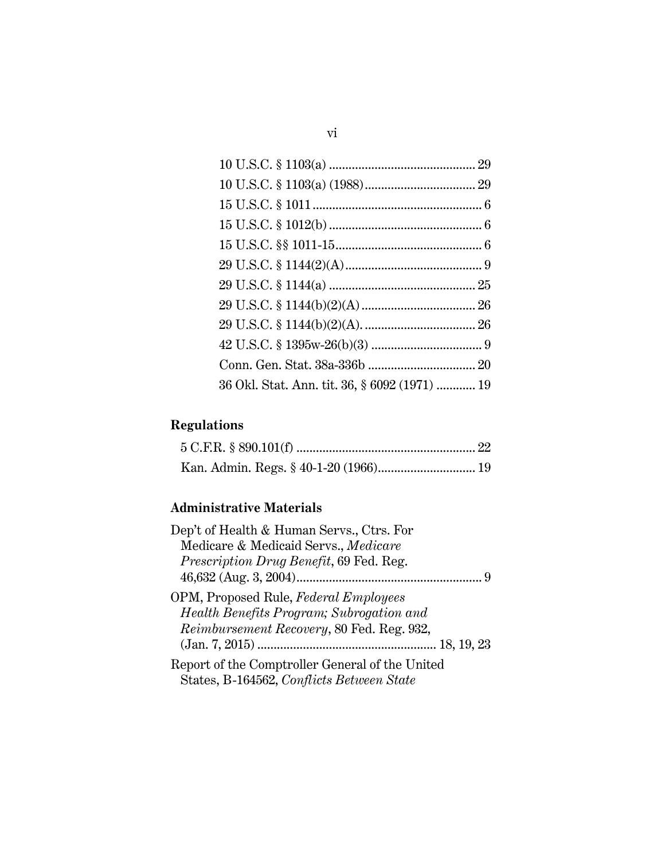| 36 Okl. Stat. Ann. tit. 36, § 6092 (1971)  19 |  |
|-----------------------------------------------|--|
|                                               |  |

# **Regulations**

## **Administrative Materials**

| Dep't of Health & Human Servs., Ctrs. For       |  |
|-------------------------------------------------|--|
| Medicare & Medicaid Servs., Medicare            |  |
| <i>Prescription Drug Benefit</i> , 69 Fed. Reg. |  |
|                                                 |  |
| OPM, Proposed Rule, Federal Employees           |  |
| Health Benefits Program; Subrogation and        |  |
| Reimbursement Recovery, 80 Fed. Reg. 932,       |  |
|                                                 |  |
| Report of the Comptroller General of the United |  |
| States, B-164562, Conflicts Between State       |  |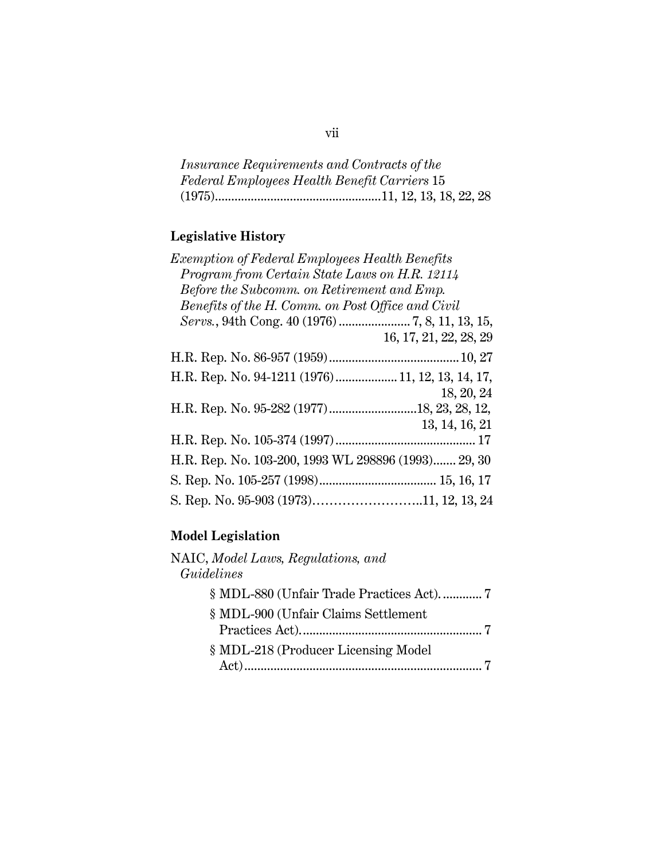*Insurance Requirements and Contracts of the Federal Employees Health Benefit Carriers* 15 (1975)...................................................11, 12, 13, 18, 22, 28

## **Legislative History**

## **Model Legislation**

| NAIC, Model Laws, Regulations, and<br>Guidelines |                                            |
|--------------------------------------------------|--------------------------------------------|
|                                                  | § MDL-880 (Unfair Trade Practices Act).  7 |
| § MDL-900 (Unfair Claims Settlement              |                                            |
|                                                  |                                            |
| § MDL-218 (Producer Licensing Model              |                                            |
|                                                  |                                            |

## vii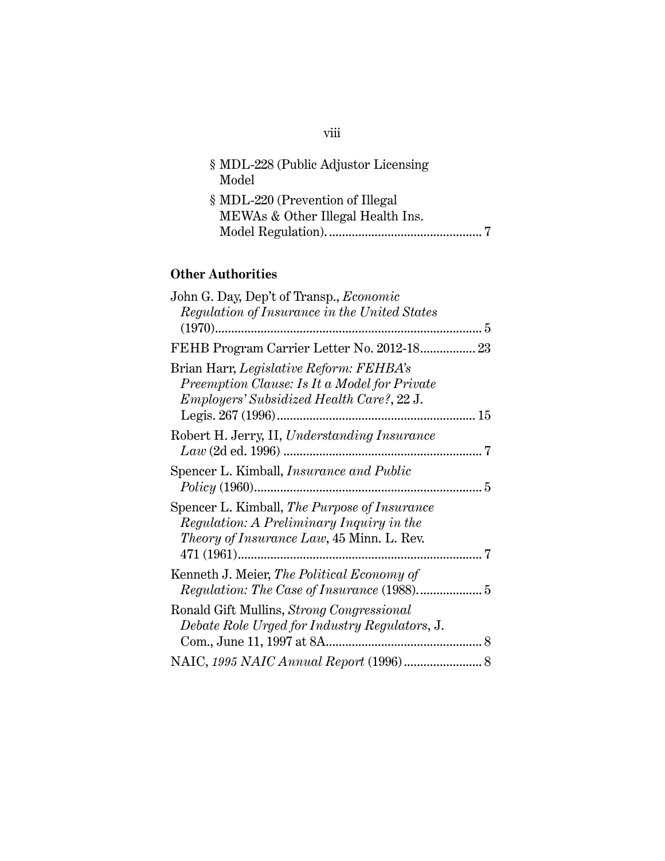| § MDL-228 (Public Adjustor Licensing |  |
|--------------------------------------|--|
| Model                                |  |
| § MDL-220 (Prevention of Illegal     |  |
| MEWAs & Other Illegal Health Ins.    |  |
|                                      |  |

## **Other Authorities**

| John G. Day, Dep't of Transp., <i>Economic</i><br>Regulation of Insurance in the United States                                                | $5\,$         |
|-----------------------------------------------------------------------------------------------------------------------------------------------|---------------|
| FEHB Program Carrier Letter No. 2012-18 23                                                                                                    |               |
| Brian Harr, Legislative Reform: FEHBA's<br>Preemption Clause: Is It a Model for Private<br><i>Employers' Subsidized Health Care?, 22 J.</i>   | 15            |
| Robert H. Jerry, II, Understanding Insurance                                                                                                  | 7             |
| Spencer L. Kimball, <i>Insurance and Public</i>                                                                                               | . 5           |
| Spencer L. Kimball, The Purpose of Insurance<br>Regulation: A Preliminary Inquiry in the<br><i>Theory of Insurance Law</i> , 45 Minn. L. Rev. | 7             |
| Kenneth J. Meier, The Political Economy of                                                                                                    |               |
| Ronald Gift Mullins, Strong Congressional<br>Debate Role Urged for Industry Regulators, J.                                                    | $\mathcal{R}$ |
|                                                                                                                                               |               |
|                                                                                                                                               |               |

## viii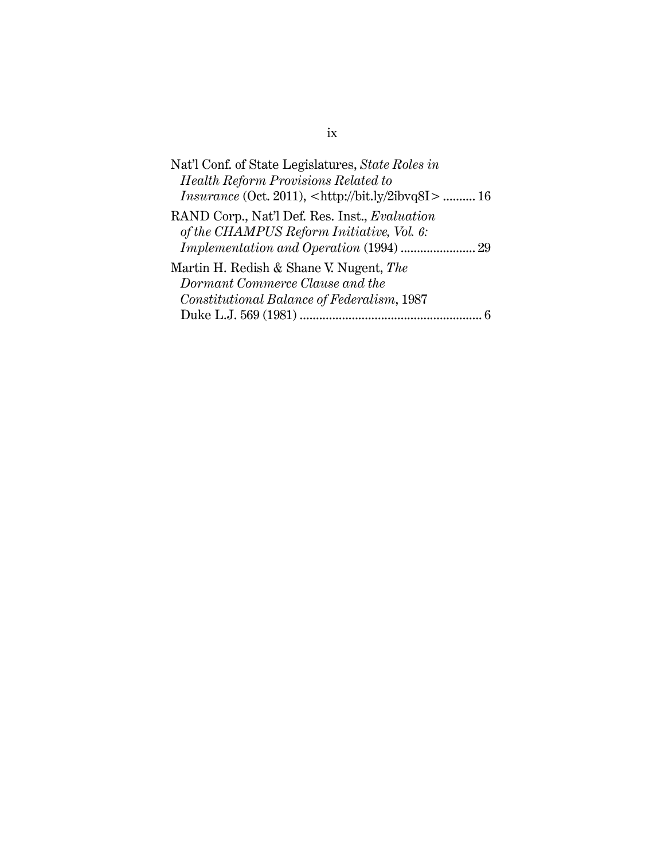| Nat'l Conf. of State Legislatures, State Roles in                      |
|------------------------------------------------------------------------|
| Health Reform Provisions Related to                                    |
| <i>Insurance</i> (Oct. 2011), <http: 2ibvq8i="" bit.ly="">  16</http:> |
| RAND Corp., Nat'l Def. Res. Inst., Evaluation                          |
| of the CHAMPUS Reform Initiative, Vol. 6:                              |
|                                                                        |
| Martin H. Redish & Shane V. Nugent, The                                |
| Dormant Commerce Clause and the                                        |
| Constitutional Balance of Federalism, 1987                             |
|                                                                        |

## ix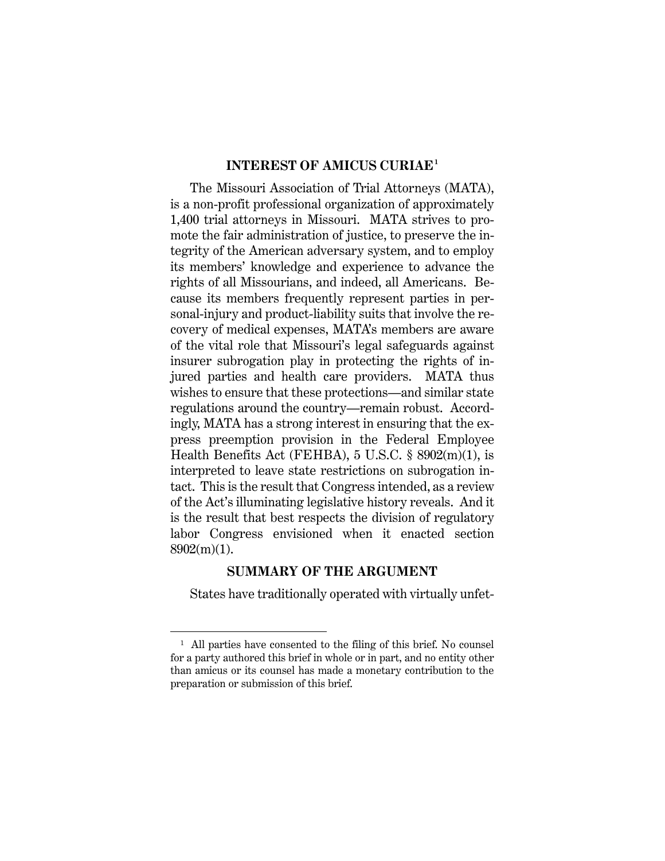#### <span id="page-10-0"></span>**INTEREST OF AMICUS CURIAE[1](#page-10-2)**

The Missouri Association of Trial Attorneys (MATA), is a non-profit professional organization of approximately 1,400 trial attorneys in Missouri. MATA strives to promote the fair administration of justice, to preserve the integrity of the American adversary system, and to employ its members' knowledge and experience to advance the rights of all Missourians, and indeed, all Americans. Because its members frequently represent parties in personal-injury and product-liability suits that involve the recovery of medical expenses, MATA's members are aware of the vital role that Missouri's legal safeguards against insurer subrogation play in protecting the rights of injured parties and health care providers. MATA thus wishes to ensure that these protections—and similar state regulations around the country—remain robust. Accordingly, MATA has a strong interest in ensuring that the express preemption provision in the Federal Employee Health Benefits Act (FEHBA), 5 U.S.C. § 8902(m)(1), is interpreted to leave state restrictions on subrogation intact. This is the result that Congress intended, as a review of the Act's illuminating legislative history reveals. And it is the result that best respects the division of regulatory labor Congress envisioned when it enacted section 8902(m)(1).

#### **SUMMARY OF THE ARGUMENT**

<span id="page-10-1"></span>States have traditionally operated with virtually unfet-

<span id="page-10-2"></span><sup>&</sup>lt;sup>1</sup> All parties have consented to the filing of this brief. No counsel for a party authored this brief in whole or in part, and no entity other than amicus or its counsel has made a monetary contribution to the preparation or submission of this brief.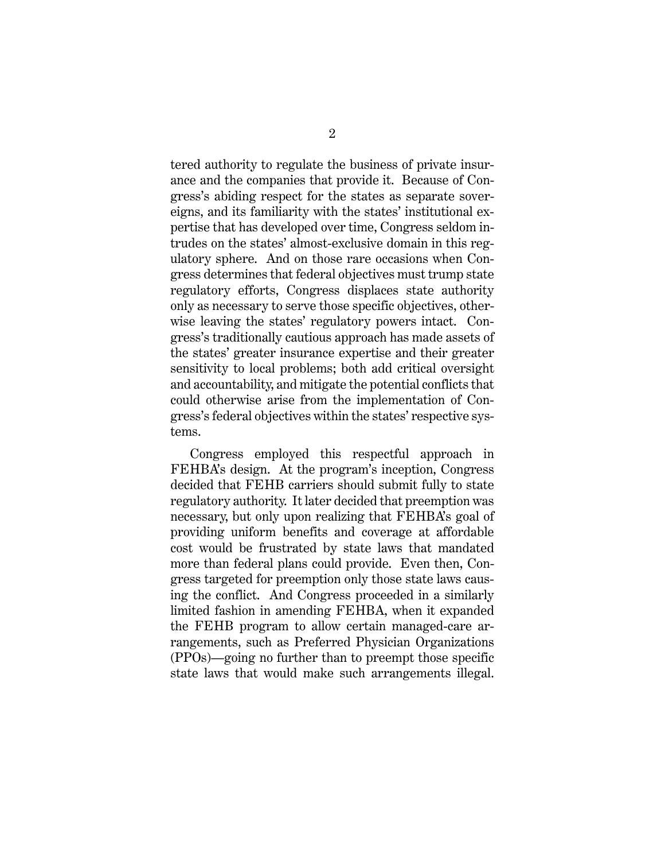tered authority to regulate the business of private insurance and the companies that provide it. Because of Congress's abiding respect for the states as separate sovereigns, and its familiarity with the states' institutional expertise that has developed over time, Congress seldom intrudes on the states' almost-exclusive domain in this regulatory sphere. And on those rare occasions when Congress determines that federal objectives must trump state regulatory efforts, Congress displaces state authority only as necessary to serve those specific objectives, otherwise leaving the states' regulatory powers intact. Congress's traditionally cautious approach has made assets of the states' greater insurance expertise and their greater sensitivity to local problems; both add critical oversight and accountability, and mitigate the potential conflicts that could otherwise arise from the implementation of Congress's federal objectives within the states' respective systems.

Congress employed this respectful approach in FEHBA's design. At the program's inception, Congress decided that FEHB carriers should submit fully to state regulatory authority. It later decided that preemption was necessary, but only upon realizing that FEHBA's goal of providing uniform benefits and coverage at affordable cost would be frustrated by state laws that mandated more than federal plans could provide. Even then, Congress targeted for preemption only those state laws causing the conflict. And Congress proceeded in a similarly limited fashion in amending FEHBA, when it expanded the FEHB program to allow certain managed-care arrangements, such as Preferred Physician Organizations (PPOs)—going no further than to preempt those specific state laws that would make such arrangements illegal.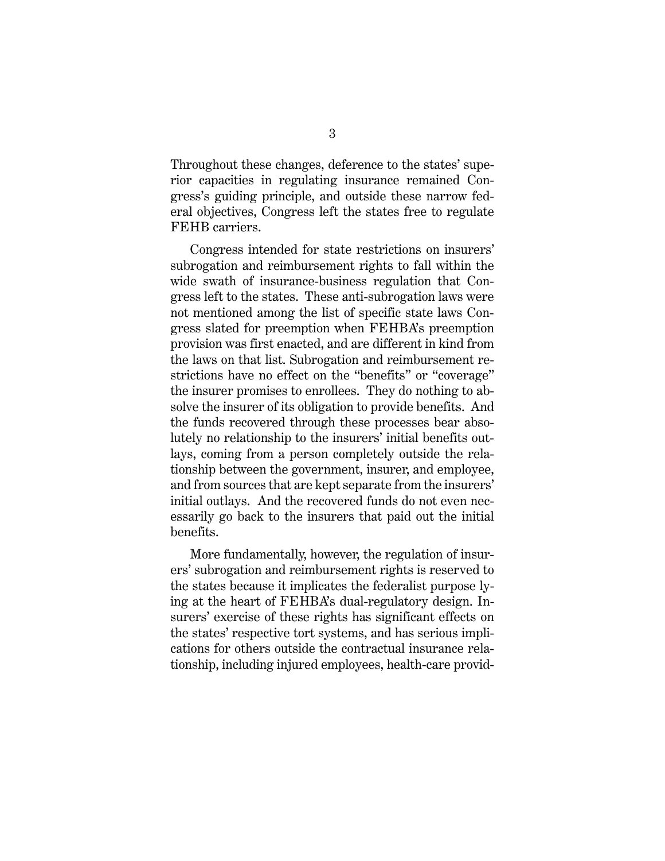Throughout these changes, deference to the states' superior capacities in regulating insurance remained Congress's guiding principle, and outside these narrow federal objectives, Congress left the states free to regulate FEHB carriers.

Congress intended for state restrictions on insurers' subrogation and reimbursement rights to fall within the wide swath of insurance-business regulation that Congress left to the states. These anti-subrogation laws were not mentioned among the list of specific state laws Congress slated for preemption when FEHBA's preemption provision was first enacted, and are different in kind from the laws on that list. Subrogation and reimbursement restrictions have no effect on the "benefits" or "coverage" the insurer promises to enrollees. They do nothing to absolve the insurer of its obligation to provide benefits. And the funds recovered through these processes bear absolutely no relationship to the insurers' initial benefits outlays, coming from a person completely outside the relationship between the government, insurer, and employee, and from sources that are kept separate from the insurers' initial outlays. And the recovered funds do not even necessarily go back to the insurers that paid out the initial benefits.

More fundamentally, however, the regulation of insurers' subrogation and reimbursement rights is reserved to the states because it implicates the federalist purpose lying at the heart of FEHBA's dual-regulatory design. Insurers' exercise of these rights has significant effects on the states' respective tort systems, and has serious implications for others outside the contractual insurance relationship, including injured employees, health-care provid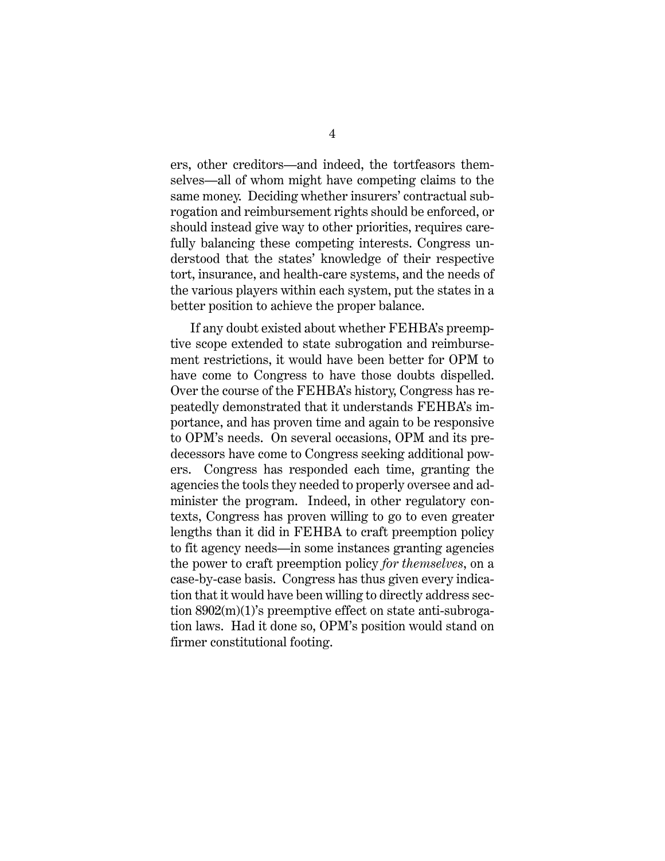ers, other creditors—and indeed, the tortfeasors themselves—all of whom might have competing claims to the same money. Deciding whether insurers' contractual subrogation and reimbursement rights should be enforced, or should instead give way to other priorities, requires carefully balancing these competing interests. Congress understood that the states' knowledge of their respective tort, insurance, and health-care systems, and the needs of the various players within each system, put the states in a better position to achieve the proper balance.

If any doubt existed about whether FEHBA's preemptive scope extended to state subrogation and reimbursement restrictions, it would have been better for OPM to have come to Congress to have those doubts dispelled. Over the course of the FEHBA's history, Congress has repeatedly demonstrated that it understands FEHBA's importance, and has proven time and again to be responsive to OPM's needs. On several occasions, OPM and its predecessors have come to Congress seeking additional powers. Congress has responded each time, granting the agencies the tools they needed to properly oversee and administer the program. Indeed, in other regulatory contexts, Congress has proven willing to go to even greater lengths than it did in FEHBA to craft preemption policy to fit agency needs—in some instances granting agencies the power to craft preemption policy *for themselves*, on a case-by-case basis. Congress has thus given every indication that it would have been willing to directly address section 8902(m)(1)'s preemptive effect on state anti-subrogation laws. Had it done so, OPM's position would stand on firmer constitutional footing.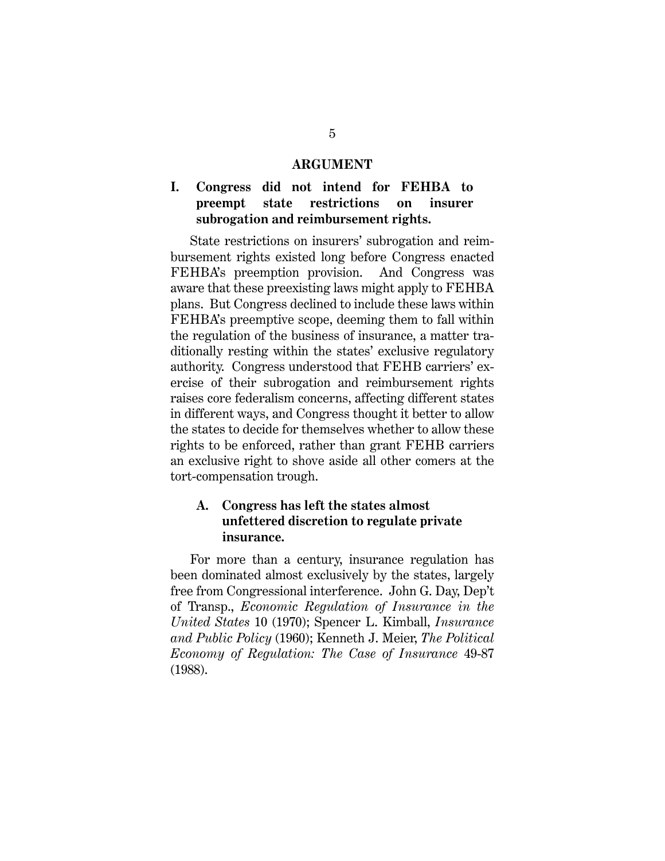#### **ARGUMENT**

## <span id="page-14-1"></span><span id="page-14-0"></span>**I. Congress did not intend for FEHBA to preempt state restrictions on insurer subrogation and reimbursement rights.**

State restrictions on insurers' subrogation and reimbursement rights existed long before Congress enacted FEHBA's preemption provision. And Congress was aware that these preexisting laws might apply to FEHBA plans. But Congress declined to include these laws within FEHBA's preemptive scope, deeming them to fall within the regulation of the business of insurance, a matter traditionally resting within the states' exclusive regulatory authority. Congress understood that FEHB carriers' exercise of their subrogation and reimbursement rights raises core federalism concerns, affecting different states in different ways, and Congress thought it better to allow the states to decide for themselves whether to allow these rights to be enforced, rather than grant FEHB carriers an exclusive right to shove aside all other comers at the tort-compensation trough.

### <span id="page-14-2"></span>**A. Congress has left the states almost unfettered discretion to regulate private insurance.**

For more than a century, insurance regulation has been dominated almost exclusively by the states, largely free from Congressional interference. John G. Day, Dep't of Transp., *Economic Regulation of Insurance in the United States* 10 (1970); Spencer L. Kimball, *Insurance and Public Policy* (1960); Kenneth J. Meier, *The Political Economy of Regulation: The Case of Insurance* 49-87 (1988).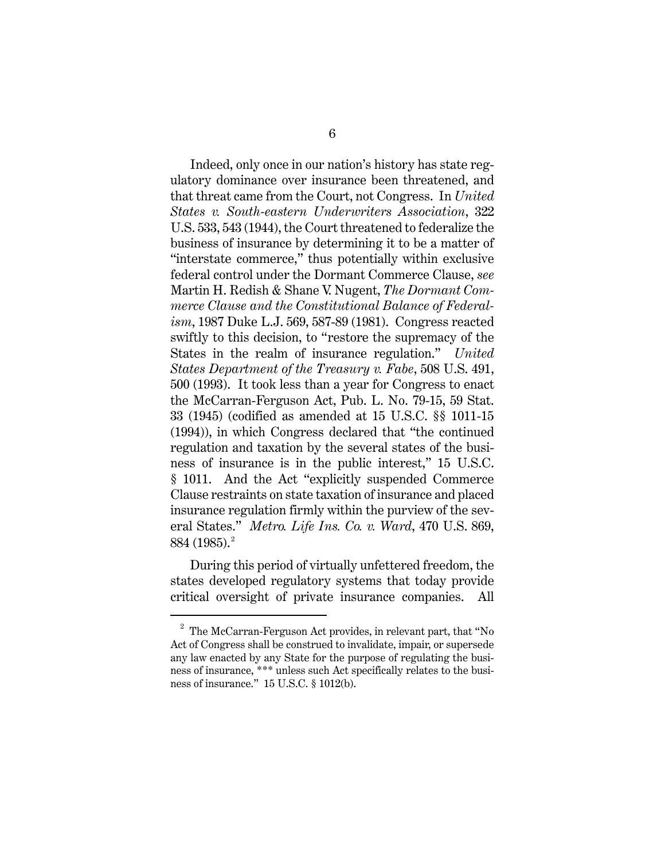Indeed, only once in our nation's history has state regulatory dominance over insurance been threatened, and that threat came from the Court, not Congress. In *United States v. South-eastern Underwriters Association*, 322 U.S. 533, 543 [\(1944\),](https://1.next.westlaw.com/Link/Document/FullText?findType=Y&serNum=1944118340&pubNum=780&originatingDoc=Ibaea7eb1382f11db8382aef8d8e33c97&refType=RP&fi=co_pp_sp_780_544&originationContext=document&transitionType=DocumentItem&contextData=%28sc.UserEnteredCitation%29#co_pp_sp_780_544) the Court threatened to federalize the business of insurance by determining it to be a matter of "interstate commerce," thus potentially within exclusive federal control under the Dormant Commerce Clause, *see*  Martin H. Redish & Shane V. Nugent, *The Dormant Commerce Clause and the Constitutional Balance of Federalism*, 1987 Duke L.J. 569, 587-89 (1981). Congress reacted swiftly to this decision, to "restore the supremacy of the States in the realm of insurance regulation." *United States Department of the Treasury v. Fabe*, 508 U.S. 491, 500 (1993). It took less than a year for Congress to enact the McCarran-Ferguson Act, Pub. L. No. 79-15, 59 Stat. 33 (1945) (codified as amended at 15 U.S.C. §§ 1011-15 (1994)), in which Congress declared that "the continued regulation and taxation by the several states of the business of insurance is in the public interest," [15 U.S.C.](https://1.next.westlaw.com/Link/Document/FullText?findType=L&pubNum=1000546&cite=15USCAS1011&originatingDoc=Id76895ae8aa411e0a8a2938374af9660&refType=LQ&originationContext=document&transitionType=DocumentItem&contextData=%28sc.Search%29) [§ 1011.](https://1.next.westlaw.com/Link/Document/FullText?findType=L&pubNum=1000546&cite=15USCAS1011&originatingDoc=Id76895ae8aa411e0a8a2938374af9660&refType=LQ&originationContext=document&transitionType=DocumentItem&contextData=%28sc.Search%29) And the Act "explicitly suspended Commerce Clause restraints on state taxation of insurance and placed insurance regulation firmly within the purview of the several States." *Metro. Life Ins. Co. v. Ward*, 470 U.S. 869, 884 (1985). [2](#page-16-0)

During this period of virtually unfettered freedom, the states developed regulatory systems that today provide critical oversight of private insurance companies. All

 <sup>2</sup> The McCarran-Ferguson Act provides, in relevant part, that "No Act of Congress shall be construed to invalidate, impair, or supersede any law enacted by any State for the purpose of regulating the business of insurance, \*\*\* unless such Act specifically relates to the business of insurance." 15 U.S.C. § 1012(b).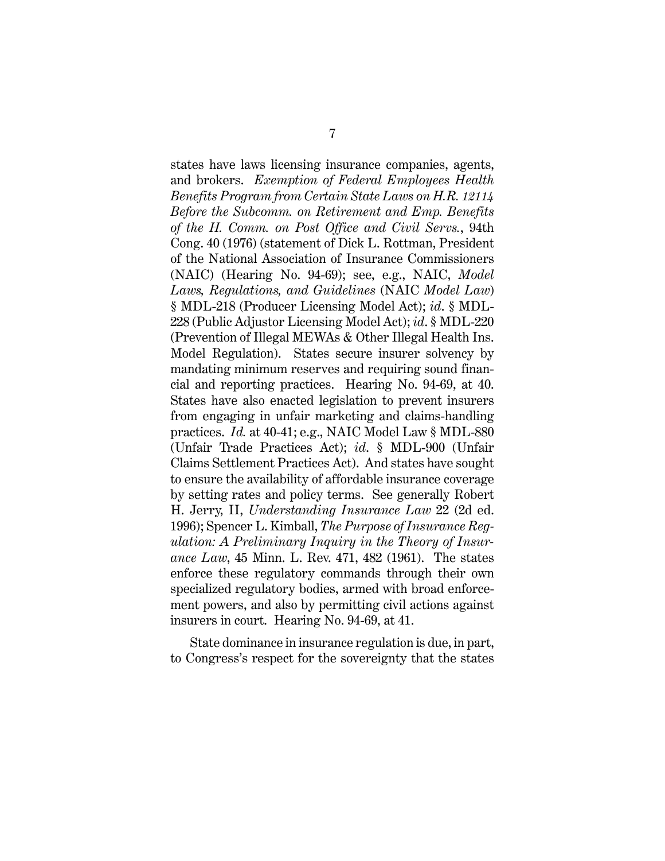states have laws licensing insurance companies, agents, and brokers. *Exemption of Federal Employees Health Benefits Program from Certain State Laws on H.R. 12114 Before the Subcomm. on Retirement and Emp. Benefits of the H. Comm. on Post Office and Civil Servs.*, 94th Cong. 40 (1976) (statement of Dick L. Rottman, President of the National Association of Insurance Commissioners (NAIC) (Hearing No. 94-69); see, e.g., NAIC, *Model Laws, Regulations, and Guidelines* (NAIC *Model Law*) § MDL-218 (Producer Licensing Model Act); *id*. § MDL-228 (Public Adjustor Licensing Model Act); *id*. § MDL-220 (Prevention of Illegal MEWAs & Other Illegal Health Ins. Model Regulation). States secure insurer solvency by mandating minimum reserves and requiring sound financial and reporting practices. Hearing No. 94-69, at 40. States have also enacted legislation to prevent insurers from engaging in unfair marketing and claims-handling practices. *Id.* at 40-41; e.g., NAIC Model Law § MDL-880 (Unfair Trade Practices Act); *id*. § MDL-900 (Unfair Claims Settlement Practices Act). And states have sought to ensure the availability of affordable insurance coverage by setting rates and policy terms. See generally Robert H. Jerry, II, *Understanding Insurance Law* 22 (2d ed. 1996); Spencer L. Kimball, *The Purpose of Insurance Regulation: A Preliminary Inquiry in the Theory of Insurance Law*, 45 Minn. L. Rev. 471, 482 (1961). The states enforce these regulatory commands through their own specialized regulatory bodies, armed with broad enforcement powers, and also by permitting civil actions against insurers in court. Hearing No. 94-69, at 41.

<span id="page-16-0"></span>State dominance in insurance regulation is due, in part, to Congress's respect for the sovereignty that the states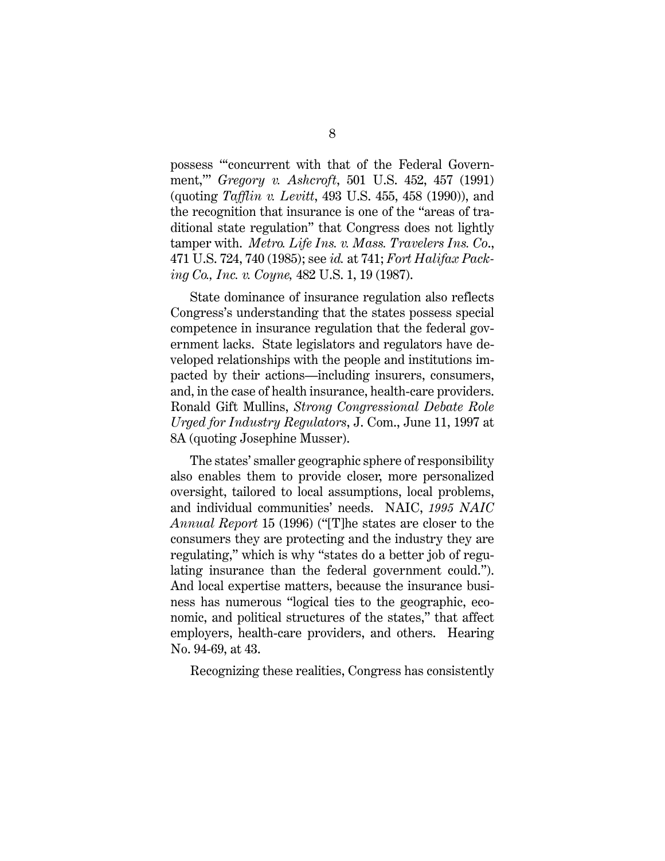possess "'concurrent with that of the Federal Government,'" *Gregory v. Ashcroft*, 501 U.S. 452, 457 (1991) (quoting *Tafflin v. Levitt*, 493 U.S. 455, 458 (1990)), and the recognition that insurance is one of the "areas of traditional state regulation" that Congress does not lightly tamper with. *Metro. Life Ins. v. Mass. Travelers Ins. Co*., 471 U.S. 724, 740 (1985); see *id.* at 741; *Fort Halifax Packing Co., Inc. v. Coyne,* 482 U.S. 1, 19 (1987).

State dominance of insurance regulation also reflects Congress's understanding that the states possess special competence in insurance regulation that the federal government lacks. State legislators and regulators have developed relationships with the people and institutions impacted by their actions—including insurers, consumers, and, in the case of health insurance, health-care providers. Ronald Gift Mullins, *Strong Congressional Debate Role Urged for Industry Regulators*, J. Com., June 11, 1997 at 8A (quoting Josephine Musser).

The states' smaller geographic sphere of responsibility also enables them to provide closer, more personalized oversight, tailored to local assumptions, local problems, and individual communities' needs. NAIC, *1995 NAIC Annual Report* 15 (1996) ("[T]he states are closer to the consumers they are protecting and the industry they are regulating," which is why "states do a better job of regulating insurance than the federal government could."). And local expertise matters, because the insurance business has numerous "logical ties to the geographic, economic, and political structures of the states," that affect employers, health-care providers, and others. Hearing No. 94-69, at 43.

Recognizing these realities, Congress has consistently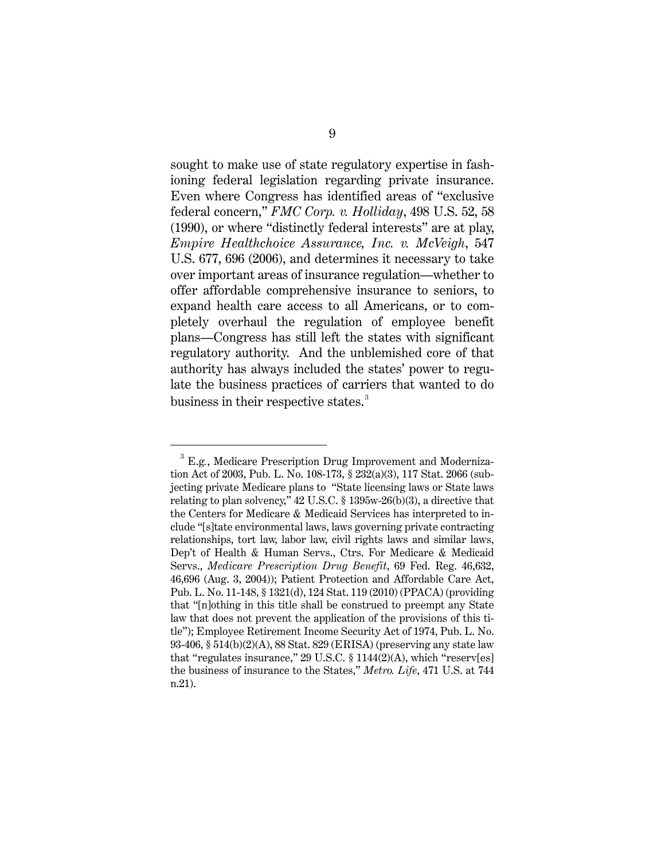sought to make use of state regulatory expertise in fashioning federal legislation regarding private insurance. Even where Congress has identified areas of "exclusive federal concern," *FMC Corp. v. Holliday*, 498 U.S. 52, 58 (1990), or where "distinctly federal interests" are at play, *Empire Healthchoice Assurance, Inc. v. McVeigh*, 547 U.S. 677, 696 (2006), and determines it necessary to take over important areas of insurance regulation—whether to offer affordable comprehensive insurance to seniors, to expand health care access to all Americans, or to completely overhaul the regulation of employee benefit plans—Congress has still left the states with significant regulatory authority. And the unblemished core of that authority has always included the states' power to regulate the business practices of carriers that wanted to do business in their respective states.<sup>[3](#page-21-0)</sup>

 <sup>3</sup> E.g*.*, Medicare Prescription Drug Improvement and Modernization Act of 2003, Pub. L. No. 108-173, § 232(a)(3), 117 Stat. 2066 (subjecting private Medicare plans to "State licensing laws or State laws relating to plan solvency," 42 U.S.C. § 1395w-26(b)(3), a directive that the [Centers for Medicare & Medicaid Services](https://www.cms.gov/Medicare/Medicare.html) has interpreted to include "[s]tate environmental laws, laws governing private contracting relationships, tort law, labor law, civil rights laws and similar laws, Dep't of Health & Human Servs., Ctrs. For Medicare & Medicaid Servs., *Medicare Prescription Drug Benefit*, 69 Fed. Reg. 46,632, 46,696 (Aug. 3, 2004)); Patient Protection and Affordable Care Act, Pub. L. No. 11-148, § 1321(d), 124 Stat. 119 (2010) (PPACA) (providing that "[n]othing in this title shall be construed to preempt any State law that does not prevent the application of the provisions of this title"); Employee Retirement Income Security Act of 1974, Pub. L. No. 93-406, § 514(b)(2)(A), 88 Stat. 829 (ERISA) (preserving any state law that "regulates insurance,"  $29 \text{ U.S.C.} \$   $1144(2)(\text{A})$ , which "reserv[es] the business of insurance to the States," *Metro. Life*, 471 U.S. at 744 n.21).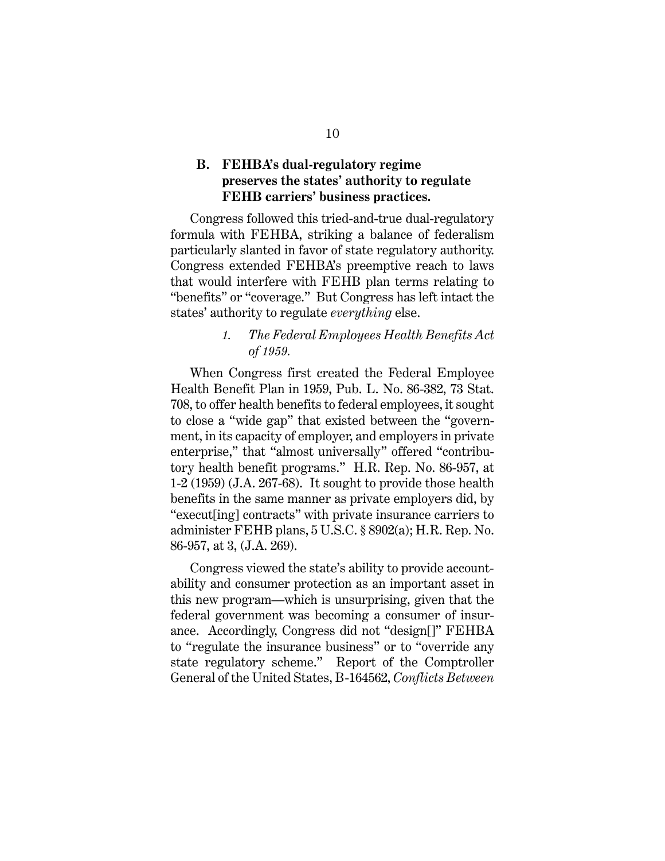### <span id="page-19-0"></span>**B. FEHBA's dual-regulatory regime preserves the states' authority to regulate FEHB carriers' business practices.**

Congress followed this tried-and-true dual-regulatory formula with FEHBA, striking a balance of federalism particularly slanted in favor of state regulatory authority. Congress extended FEHBA's preemptive reach to laws that would interfere with FEHB plan terms relating to "benefits" or "coverage." But Congress has left intact the states' authority to regulate *everything* else.

### *1. The Federal Employees Health Benefits Act of 1959.*

<span id="page-19-1"></span>When Congress first created the Federal Employee Health Benefit Plan in 1959, Pub. L. No. 86-382, 73 Stat. 708, to offer health benefits to federal employees, it sought to close a "wide gap" that existed between the "government, in its capacity of employer, and employers in private enterprise," that "almost universally" offered "contributory health benefit programs." H.R. Rep. No. 86-957, at 1-2 (1959) (J.A. 267-68). It sought to provide those health benefits in the same manner as private employers did, by "execut[ing] contracts" with private insurance carriers to administer FEHB plans, 5 U.S.C. § 8902(a); H.R. Rep. No. 86-957, at 3, (J.A. 269).

Congress viewed the state's ability to provide accountability and consumer protection as an important asset in this new program—which is unsurprising, given that the federal government was becoming a consumer of insurance. Accordingly, Congress did not "design[]" FEHBA to "regulate the insurance business" or to "override any state regulatory scheme." Report of the Comptroller General of the United States, B-164562, *Conflicts Between*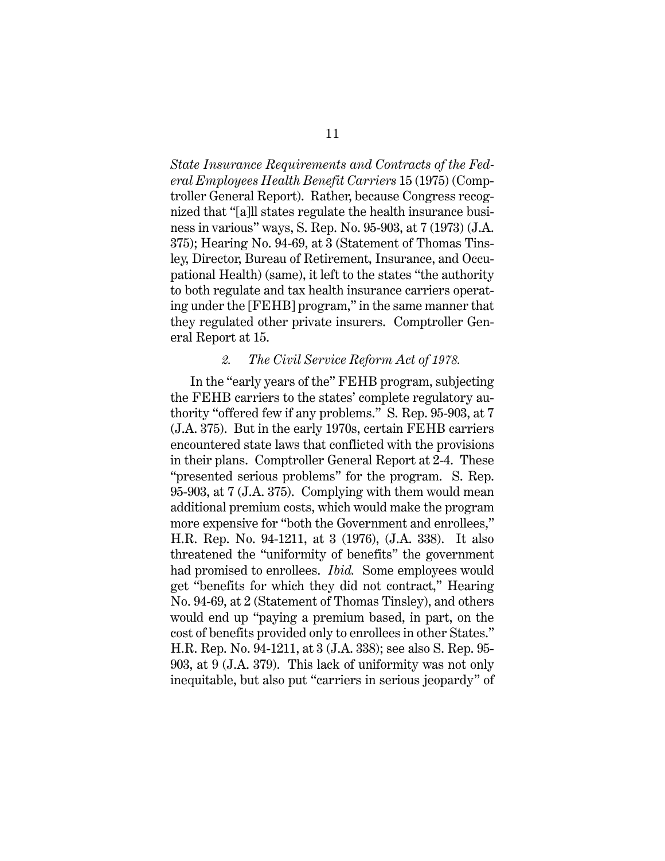*State Insurance Requirements and Contracts of the Federal Employees Health Benefit Carriers* 15 (1975) (Comptroller General Report). Rather, because Congress recognized that "[a]ll states regulate the health insurance business in various" ways, S. Rep. No. 95-903, at 7 (1973) (J.A. 375); Hearing No. 94-69, at 3 (Statement of Thomas Tinsley, Director, Bureau of Retirement, Insurance, and Occupational Health) (same), it left to the states "the authority to both regulate and tax health insurance carriers operating under the [FEHB] program," in the same manner that they regulated other private insurers. Comptroller General Report at 15.

#### *2. The Civil Service Reform Act of 1978.*

<span id="page-20-0"></span>In the "early years of the" FEHB program, subjecting the FEHB carriers to the states' complete regulatory authority "offered few if any problems." S. Rep. 95-903, at 7 (J.A. 375). But in the early 1970s, certain FEHB carriers encountered state laws that conflicted with the provisions in their plans. Comptroller General Report at 2-4. These "presented serious problems" for the program. S. Rep. 95-903, at 7 (J.A. 375). Complying with them would mean additional premium costs, which would make the program more expensive for "both the Government and enrollees," H.R. Rep. No. 94-1211, at 3 (1976), (J.A. 338). It also threatened the "uniformity of benefits" the government had promised to enrollees. *Ibid.* Some employees would get "benefits for which they did not contract," Hearing No. 94-69, at 2 (Statement of Thomas Tinsley), and others would end up "paying a premium based, in part, on the cost of benefits provided only to enrollees in other States." H.R. Rep. No. 94-1211, at 3 (J.A. 338); see also S. Rep. 95- 903, at 9 (J.A. 379). This lack of uniformity was not only inequitable, but also put "carriers in serious jeopardy" of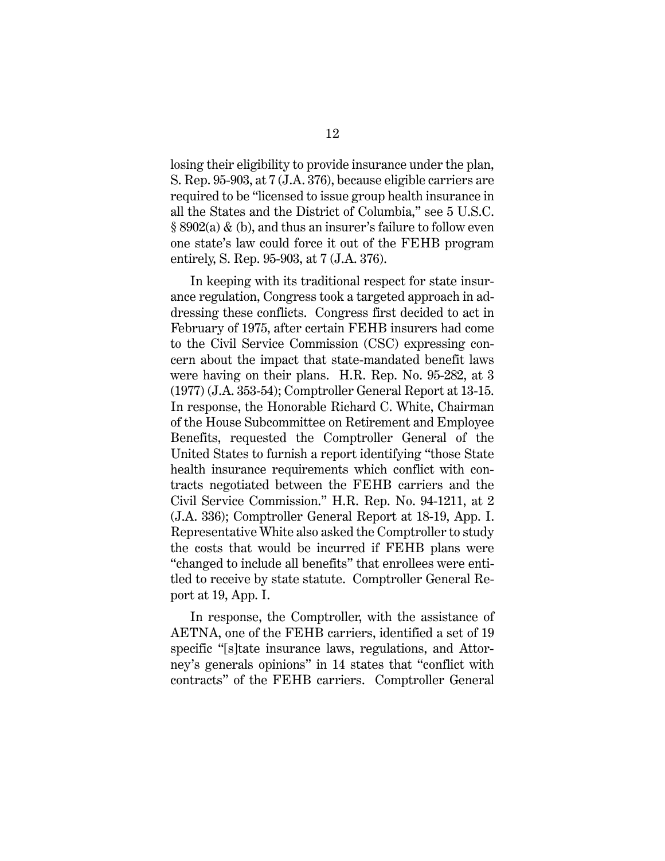<span id="page-21-0"></span>losing their eligibility to provide insurance under the plan, S. Rep. 95-903, at 7 (J.A. 376), because eligible carriers are required to be "licensed to issue group health insurance in all the States and the District of Columbia," see 5 U.S.C. § 8902(a) & (b), and thus an insurer's failure to follow even one state's law could force it out of the FEHB program entirely, S. Rep. 95-903, at 7 (J.A. 376).

In keeping with its traditional respect for state insurance regulation, Congress took a targeted approach in addressing these conflicts. Congress first decided to act in February of 1975, after certain FEHB insurers had come to the Civil Service Commission (CSC) expressing concern about the impact that state-mandated benefit laws were having on their plans. H.R. Rep. No. 95-282, at 3 (1977) (J.A. 353-54); Comptroller General Report at 13-15. In response, the Honorable Richard C. White, Chairman of the House Subcommittee on Retirement and Employee Benefits, requested the Comptroller General of the United States to furnish a report identifying "those State health insurance requirements which conflict with contracts negotiated between the FEHB carriers and the Civil Service Commission." H.R. Rep. No. 94-1211, at 2 (J.A. 336); Comptroller General Report at 18-19, App. I. Representative White also asked the Comptroller to study the costs that would be incurred if FEHB plans were "changed to include all benefits" that enrollees were entitled to receive by state statute. Comptroller General Report at 19, App. I.

In response, the Comptroller, with the assistance of AETNA, one of the FEHB carriers, identified a set of 19 specific "[s]tate insurance laws, regulations, and Attorney's generals opinions" in 14 states that "conflict with contracts" of the FEHB carriers. Comptroller General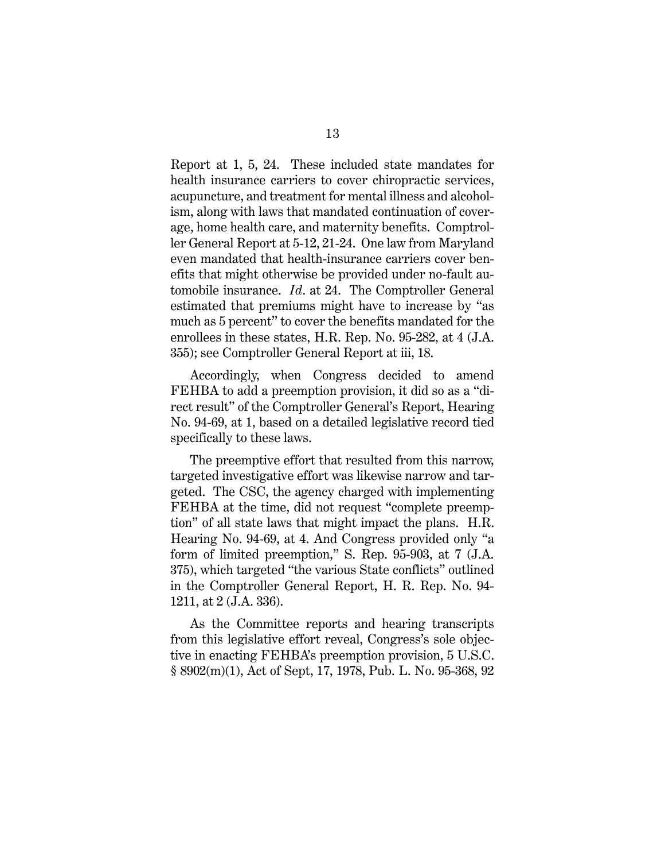Report at 1, 5, 24. These included state mandates for health insurance carriers to cover chiropractic services, acupuncture, and treatment for mental illness and alcoholism, along with laws that mandated continuation of coverage, home health care, and maternity benefits. Comptroller General Report at 5-12, 21-24. One law from Maryland even mandated that health-insurance carriers cover benefits that might otherwise be provided under no-fault automobile insurance. *Id*. at 24. The Comptroller General estimated that premiums might have to increase by "as much as 5 percent" to cover the benefits mandated for the enrollees in these states, H.R. Rep. No. 95-282, at 4 (J.A. 355); see Comptroller General Report at iii, 18.

Accordingly, when Congress decided to amend FEHBA to add a preemption provision, it did so as a "direct result" of the Comptroller General's Report, Hearing No. 94-69, at 1, based on a detailed legislative record tied specifically to these laws.

The preemptive effort that resulted from this narrow, targeted investigative effort was likewise narrow and targeted. The CSC, the agency charged with implementing FEHBA at the time, did not request "complete preemption" of all state laws that might impact the plans. H.R. Hearing No. 94-69, at 4. And Congress provided only "a form of limited preemption," S. Rep. 95-903, at 7 (J.A. 375), which targeted "the various State conflicts" outlined in the Comptroller General Report, H. R. Rep. No. 94- 1211, at 2 (J.A. 336).

As the Committee reports and hearing transcripts from this legislative effort reveal, Congress's sole objective in enacting FEHBA's preemption provision, 5 U.S.C. § 8902(m)(1), Act of Sept, 17, 1978, Pub. L. No. 95-368, 92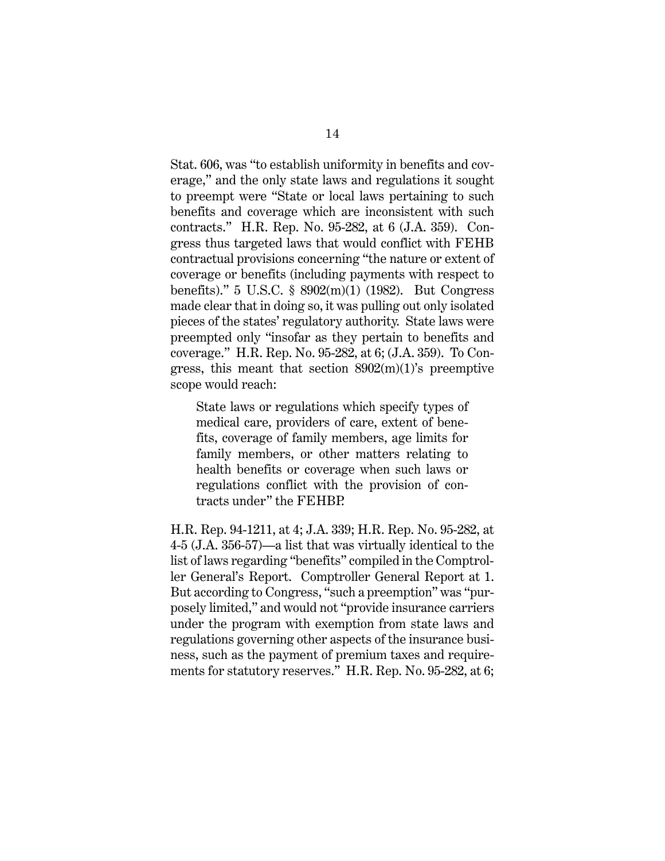Stat. 606, was "to establish uniformity in benefits and coverage," and the only state laws and regulations it sought to preempt were "State or local laws pertaining to such benefits and coverage which are inconsistent with such contracts." H.R. Rep. No. 95-282, at 6 (J.A. 359). Congress thus targeted laws that would conflict with FEHB contractual provisions concerning "the nature or extent of coverage or benefits (including payments with respect to benefits)." 5 U.S.C. § 8902(m)(1) (1982). But Congress made clear that in doing so, it was pulling out only isolated pieces of the states' regulatory authority. State laws were preempted only "insofar as they pertain to benefits and coverage." H.R. Rep. No. 95-282, at 6; (J.A. 359). To Congress, this meant that section 8902(m)(1)'s preemptive scope would reach:

State laws or regulations which specify types of medical care, providers of care, extent of benefits, coverage of family members, age limits for family members, or other matters relating to health benefits or coverage when such laws or regulations conflict with the provision of contracts under" the FEHBP.

H.R. Rep. 94-1211, at 4; J.A. 339; H.R. Rep. No. 95-282, at 4-5 (J.A. 356-57)—a list that was virtually identical to the list of laws regarding "benefits" compiled in the Comptroller General's Report. Comptroller General Report at 1. But according to Congress, "such a preemption" was "purposely limited," and would not "provide insurance carriers under the program with exemption from state laws and regulations governing other aspects of the insurance business, such as the payment of premium taxes and requirements for statutory reserves." H.R. Rep. No. 95-282, at 6;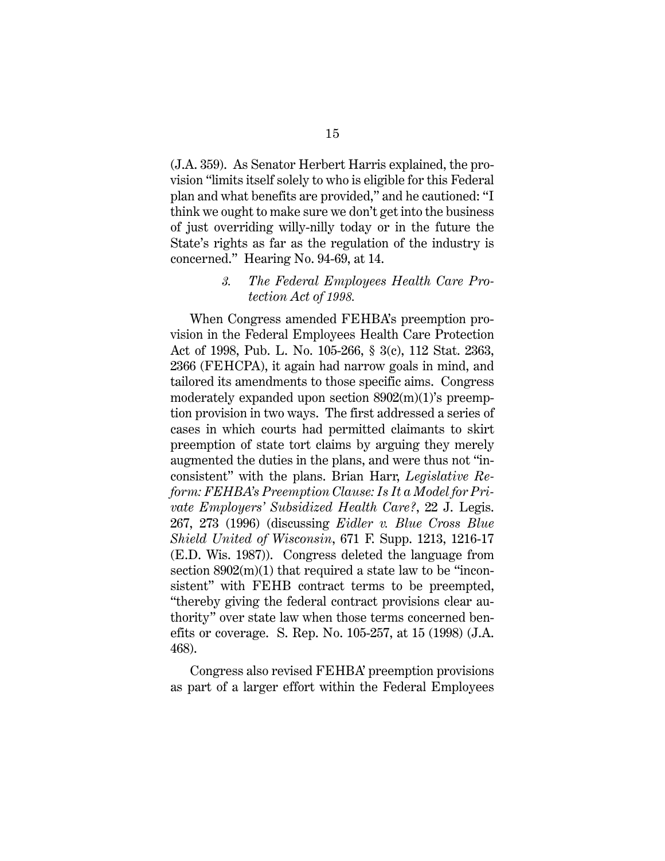(J.A. 359). As Senator Herbert Harris explained, the provision "limits itself solely to who is eligible for this Federal plan and what benefits are provided," and he cautioned: "I think we ought to make sure we don't get into the business of just overriding willy-nilly today or in the future the State's rights as far as the regulation of the industry is concerned." Hearing No. 94-69, at 14.

#### *3. The Federal Employees Health Care Protection Act of 1998.*

<span id="page-24-0"></span>When Congress amended FEHBA's preemption provision in the Federal Employees Health Care Protection Act of 1998, Pub. L. No. 105-266, § 3(c), 112 Stat. 2363, 2366 (FEHCPA), it again had narrow goals in mind, and tailored its amendments to those specific aims. Congress moderately expanded upon section 8902(m)(1)'s preemption provision in two ways. The first addressed a series of cases in which courts had permitted claimants to skirt preemption of state tort claims by arguing they merely augmented the duties in the plans, and were thus not "inconsistent" with the plans. Brian Harr, *Legislative Reform: FEHBA's Preemption Clause: Is It a Model for Private Employers' Subsidized Health Care?*, 22 J. Legis. 267, 273 (1996) (discussing *Eidler v. Blue Cross Blue Shield United of Wisconsin*, 671 F. Supp. 1213, 1216-17 (E.D. Wis. 1987)). Congress deleted the language from section  $8902(m)(1)$  that required a state law to be "inconsistent" with FEHB contract terms to be preempted, "thereby giving the federal contract provisions clear authority" over state law when those terms concerned benefits or coverage. S. Rep. No. 105-257, at 15 (1998) (J.A. 468).

Congress also revised FEHBA' preemption provisions as part of a larger effort within the Federal Employees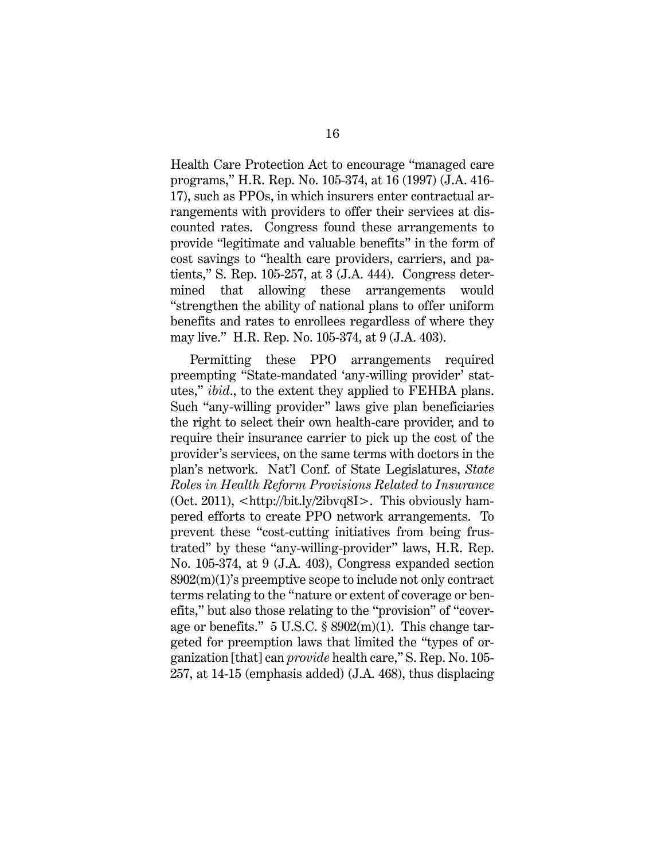Health Care Protection Act to encourage "managed care programs," H.R. Rep. No. 105-374, at 16 (1997) (J.A. 416- 17), such as PPOs, in which insurers enter contractual arrangements with providers to offer their services at discounted rates. Congress found these arrangements to provide "legitimate and valuable benefits" in the form of cost savings to "health care providers, carriers, and patients," S. Rep. 105-257, at 3 (J.A. 444). Congress determined that allowing these arrangements would "strengthen the ability of national plans to offer uniform benefits and rates to enrollees regardless of where they may live." H.R. Rep. No. 105-374, at 9 (J.A. 403).

Permitting these PPO arrangements required preempting "State-mandated 'any-willing provider' statutes," *ibid*., to the extent they applied to FEHBA plans. Such "any-willing provider" laws give plan beneficiaries the right to select their own health-care provider, and to require their insurance carrier to pick up the cost of the provider's services, on the same terms with doctors in the plan's network. Nat'l Conf. of State Legislatures, *State Roles in Health Reform Provisions Related to Insurance* (Oct. 2011), <http://bit.ly/2ibvq8I>. This obviously hampered efforts to create PPO network arrangements. To prevent these "cost-cutting initiatives from being frustrated" by these "any-willing-provider" laws, H.R. Rep. No. 105-374, at 9 (J.A. 403), Congress expanded section 8902(m)(1)'s preemptive scope to include not only contract terms relating to the "nature or extent of coverage or benefits," but also those relating to the "provision" of "coverage or benefits." 5 U.S.C. § 8902(m)(1). This change targeted for preemption laws that limited the "types of organization [that] can *provide* health care," S. Rep. No. 105- 257, at 14-15 (emphasis added) (J.A. 468), thus displacing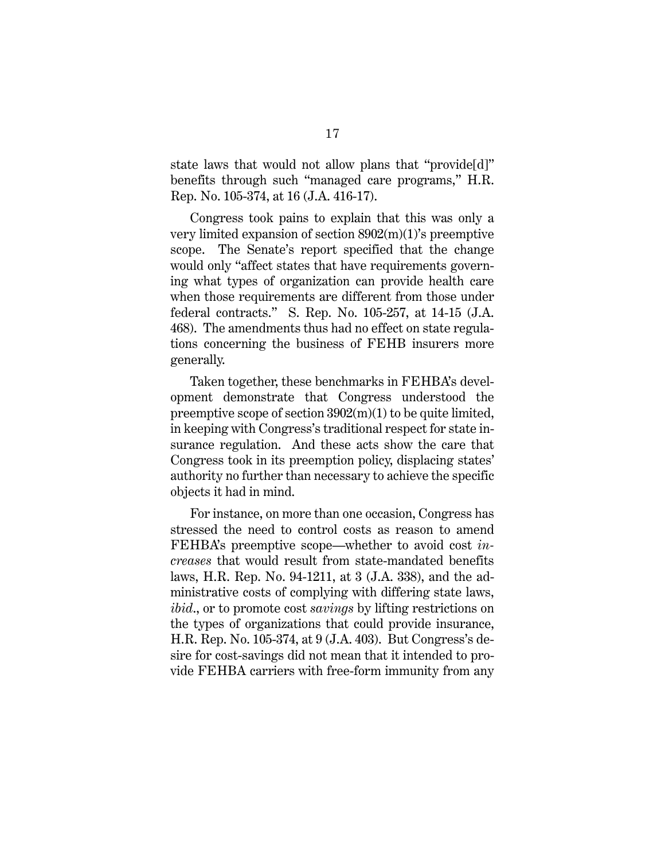state laws that would not allow plans that "provide[d]" benefits through such "managed care programs," H.R. Rep. No. 105-374, at 16 (J.A. 416-17).

Congress took pains to explain that this was only a very limited expansion of section 8902(m)(1)'s preemptive scope. The Senate's report specified that the change would only "affect states that have requirements governing what types of organization can provide health care when those requirements are different from those under federal contracts." S. Rep. No. 105-257, at 14-15 (J.A. 468). The amendments thus had no effect on state regulations concerning the business of FEHB insurers more generally.

Taken together, these benchmarks in FEHBA's development demonstrate that Congress understood the preemptive scope of section 3902(m)(1) to be quite limited, in keeping with Congress's traditional respect for state insurance regulation. And these acts show the care that Congress took in its preemption policy, displacing states' authority no further than necessary to achieve the specific objects it had in mind.

For instance, on more than one occasion, Congress has stressed the need to control costs as reason to amend FEHBA's preemptive scope—whether to avoid cost *increases* that would result from state-mandated benefits laws, H.R. Rep. No. 94-1211, at 3 (J.A. 338), and the administrative costs of complying with differing state laws, *ibid*., or to promote cost *savings* by lifting restrictions on the types of organizations that could provide insurance, H.R. Rep. No. 105-374, at 9 (J.A. 403). But Congress's desire for cost-savings did not mean that it intended to provide FEHBA carriers with free-form immunity from any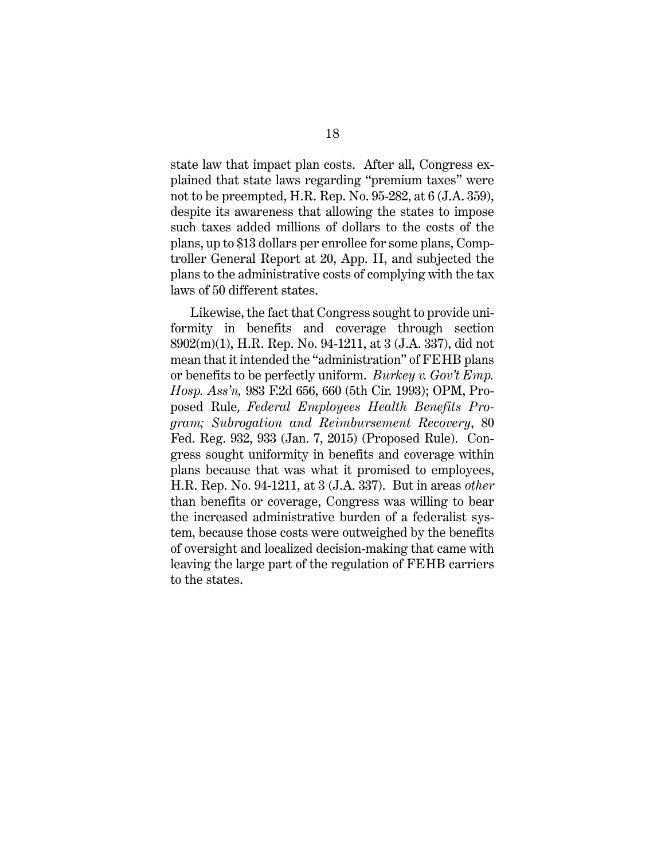state law that impact plan costs. After all, Congress explained that state laws regarding "premium taxes" were not to be preempted, H.R. Rep. No. 95-282, at 6 (J.A. 359), despite its awareness that allowing the states to impose such taxes added millions of dollars to the costs of the plans, up to \$13 dollars per enrollee for some plans, Comptroller General Report at 20, App. II, and subjected the plans to the administrative costs of complying with the tax laws of 50 different states.

Likewise, the fact that Congress sought to provide uniformity in benefits and coverage through section 8902(m)(1), H.R. Rep. No. 94-1211, at 3 (J.A. 337), did not mean that it intended the "administration" of FEHB plans or benefits to be perfectly uniform. *Burkey v. Gov't Emp. Hosp. Ass'n,* [983 F.2d 656, 660](https://casetext.com/case/burkey-v-government-employees-hosp-assn#p660) (5th Cir. 1993); OPM, Proposed Rule, *Federal Employees Health Benefits Program; Subrogation and Reimbursement Recovery*, 80 Fed. Reg. 932, 933 (Jan. 7, 2015) (Proposed Rule). Congress sought uniformity in benefits and coverage within plans because that was what it promised to employees, H.R. Rep. No. 94-1211, at 3 (J.A. 337). But in areas *other* than benefits or coverage, Congress was willing to bear the increased administrative burden of a federalist system, because those costs were outweighed by the benefits of oversight and localized decision-making that came with leaving the large part of the regulation of FEHB carriers to the states.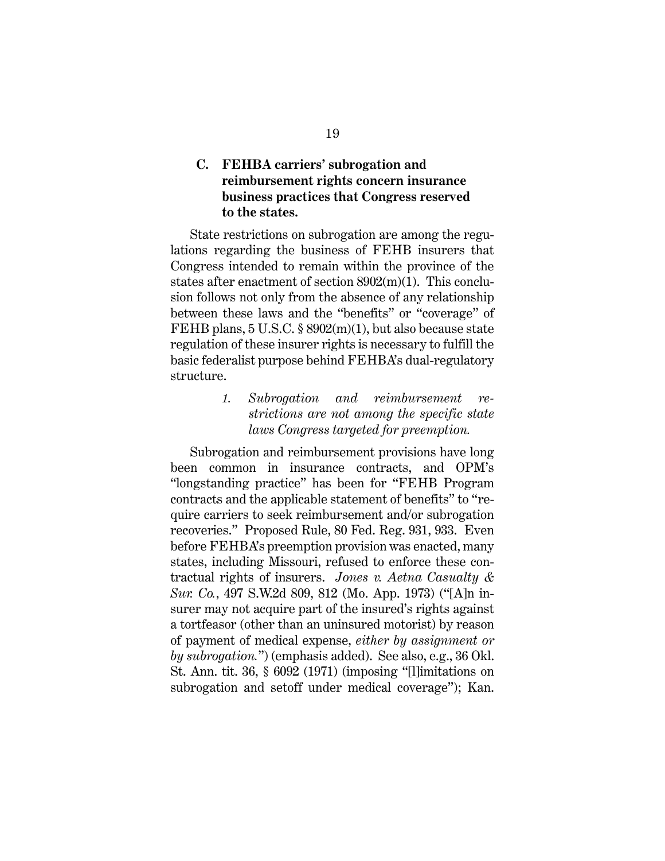### <span id="page-28-0"></span>**C. FEHBA carriers' subrogation and reimbursement rights concern insurance business practices that Congress reserved to the states.**

State restrictions on subrogation are among the regulations regarding the business of FEHB insurers that Congress intended to remain within the province of the states after enactment of section 8902(m)(1). This conclusion follows not only from the absence of any relationship between these laws and the "benefits" or "coverage" of FEHB plans, 5 U.S.C. § 8902(m)(1), but also because state regulation of these insurer rights is necessary to fulfill the basic federalist purpose behind FEHBA's dual-regulatory structure.

> <span id="page-28-1"></span>*1. Subrogation and reimbursement restrictions are not among the specific state laws Congress targeted for preemption.*

Subrogation and reimbursement provisions have long been common in insurance contracts, and OPM's "longstanding practice" has been for "FEHB Program contracts and the applicable statement of benefits" to "require carriers to seek reimbursement and/or subrogation recoveries." Proposed Rule, 80 Fed. Reg. 931, 933. Even before FEHBA's preemption provision was enacted, many states, including Missouri, refused to enforce these contractual rights of insurers. *Jones v. Aetna Casualty & Sur. Co.*, 497 S.W.2d 809, 812 (Mo. App. 1973) ("[A]n insurer may not acquire part of the insured's rights against a tortfeasor (other than an uninsured motorist) by reason of payment of medical expense, *either by assignment or by subrogation.*") (emphasis added). See also, e.g., 36 Okl. St. Ann. tit. 36, § 6092 (1971) (imposing "[l]imitations on subrogation and setoff under medical coverage"); Kan.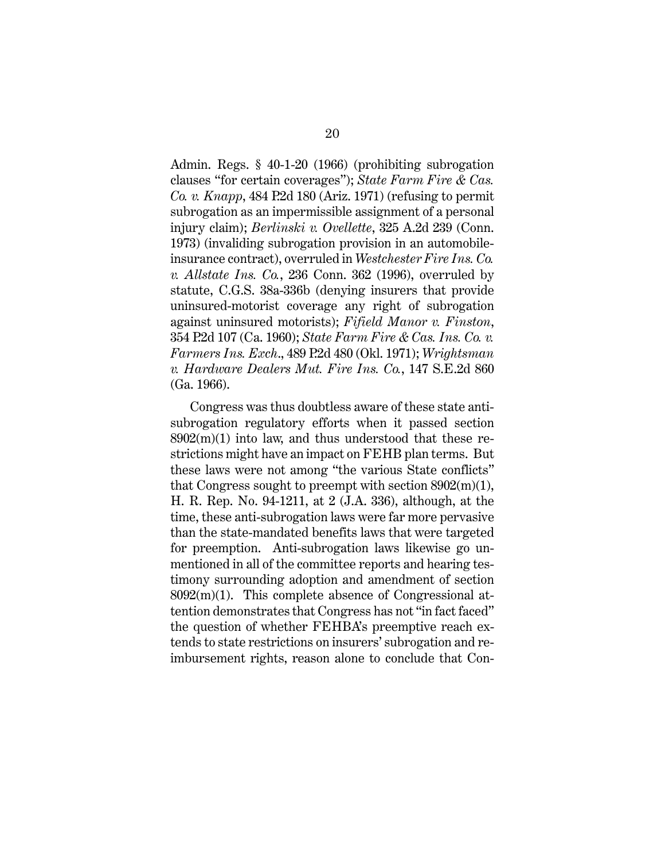Admin. Regs. § 40-1-20 (1966) (prohibiting subrogation clauses "for certain coverages"); *State Farm Fire & Cas. Co. v. Knapp*, 484 P.2d 180 (Ariz. 1971) (refusing to permit subrogation as an impermissible assignment of a personal injury claim); *Berlinski v. Ovellette*, 325 A.2d 239 (Conn. 1973) (invaliding subrogation provision in an automobileinsurance contract), overruled in *Westchester Fire Ins. Co. v. Allstate Ins. Co.*, 236 Conn. 362 (1996), overruled by statute, [C.G.S. 38a-336b](https://1.next.westlaw.com/Link/Document/FullText?findType=L&pubNum=1000264&cite=CTSTS38A-336B&originatingDoc=I10390b2432ba11d98b61a35269fc5f88&refType=LQ&originationContext=document&transitionType=DocumentItem&contextData=%28sc.Keycite%29) (denying insurers that provide uninsured-motorist coverage any right of subrogation against uninsured motorists); *Fifield Manor v. Finston*, 354 P.2d 107 (Ca. 1960); *State Farm Fire & Cas. Ins. Co. v. Farmers Ins. Exch*., 489 P.2d 480 (Okl. 1971); *Wrightsman v. Hardware Dealers Mut. Fire Ins. Co.*, 147 S.E.2d 860 (Ga. 1966).

Congress was thus doubtless aware of these state antisubrogation regulatory efforts when it passed section  $8902(m)(1)$  into law, and thus understood that these restrictions might have an impact on FEHB plan terms. But these laws were not among "the various State conflicts" that Congress sought to preempt with section 8902(m)(1), H. R. Rep. No. 94-1211, at 2 (J.A. 336), although, at the time, these anti-subrogation laws were far more pervasive than the state-mandated benefits laws that were targeted for preemption. Anti-subrogation laws likewise go unmentioned in all of the committee reports and hearing testimony surrounding adoption and amendment of section 8092(m)(1). This complete absence of Congressional attention demonstrates that Congress has not "in fact faced" the question of whether FEHBA's preemptive reach extends to state restrictions on insurers' subrogation and reimbursement rights, reason alone to conclude that Con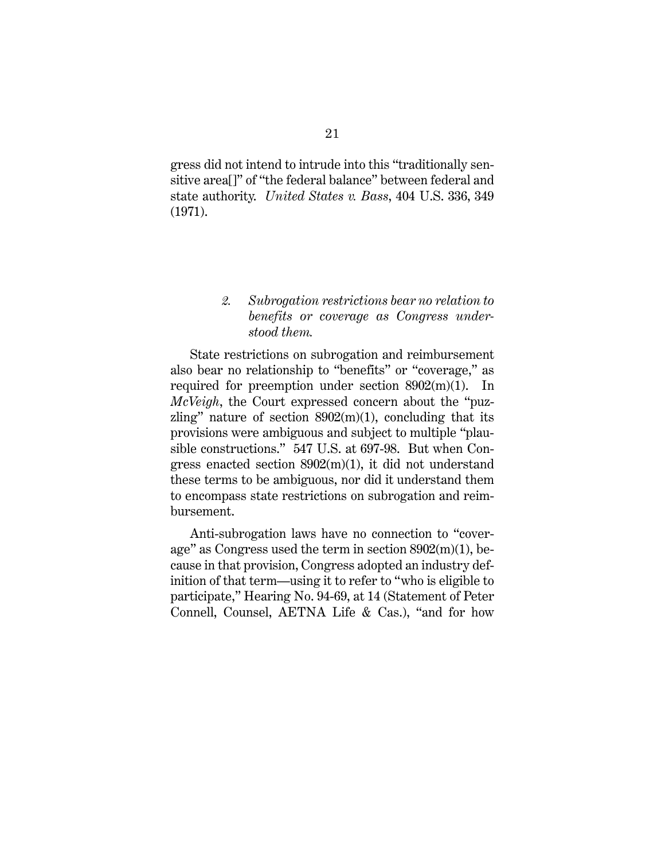gress did not intend to intrude into this "traditionally sensitive area[]" of "the federal balance" between federal and state authority. *United States v. Bass*, 404 U.S. 336, 349 (1971).

### <span id="page-30-0"></span>*2. Subrogation restrictions bear no relation to benefits or coverage as Congress understood them.*

State restrictions on subrogation and reimbursement also bear no relationship to "benefits" or "coverage," as required for preemption under section 8902(m)(1). In *McVeigh*, the Court expressed concern about the "puzzling" nature of section  $8902(m)(1)$ , concluding that its provisions were ambiguous and subject to multiple "plausible constructions." 547 U.S. at 697-98.But when Congress enacted section 8902(m)(1), it did not understand these terms to be ambiguous, nor did it understand them to encompass state restrictions on subrogation and reimbursement.

Anti-subrogation laws have no connection to "coverage" as Congress used the term in section 8902(m)(1), because in that provision, Congress adopted an industry definition of that term—using it to refer to "who is eligible to participate," Hearing No. 94-69, at 14 (Statement of Peter Connell, Counsel, AETNA Life & Cas.), "and for how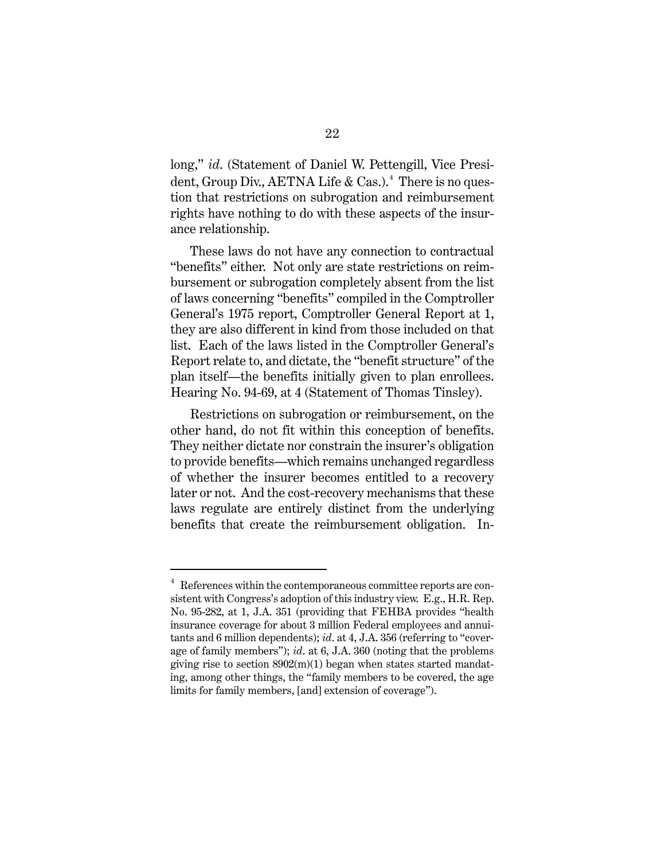long," *id*. (Statement of Daniel W. Pettengill, Vice Presi-dent, Group Div., AETNA Life & Cas.).<sup>[4](#page-38-0)</sup> There is no question that restrictions on subrogation and reimbursement rights have nothing to do with these aspects of the insurance relationship.

These laws do not have any connection to contractual "benefits" either. Not only are state restrictions on reimbursement or subrogation completely absent from the list of laws concerning "benefits" compiled in the Comptroller General's 1975 report, Comptroller General Report at 1, they are also different in kind from those included on that list. Each of the laws listed in the Comptroller General's Report relate to, and dictate, the "benefit structure" of the plan itself—the benefits initially given to plan enrollees. Hearing No. 94-69, at 4 (Statement of Thomas Tinsley).

Restrictions on subrogation or reimbursement, on the other hand, do not fit within this conception of benefits. They neither dictate nor constrain the insurer's obligation to provide benefits—which remains unchanged regardless of whether the insurer becomes entitled to a recovery later or not. And the cost-recovery mechanisms that these laws regulate are entirely distinct from the underlying benefits that create the reimbursement obligation. In-

 $\frac{1}{4}$  References within the contemporaneous committee reports are consistent with Congress's adoption of this industry view. E.g., H.R. Rep. No. 95-282, at 1, J.A. 351 (providing that FEHBA provides "health insurance coverage for about 3 million Federal employees and annuitants and 6 million dependents); *id*. at 4, J.A. 356 (referring to "coverage of family members"); *id*. at 6, J.A. 360 (noting that the problems giving rise to section 8902(m)(1) began when states started mandating, among other things, the "family members to be covered, the age limits for family members, [and] extension of coverage").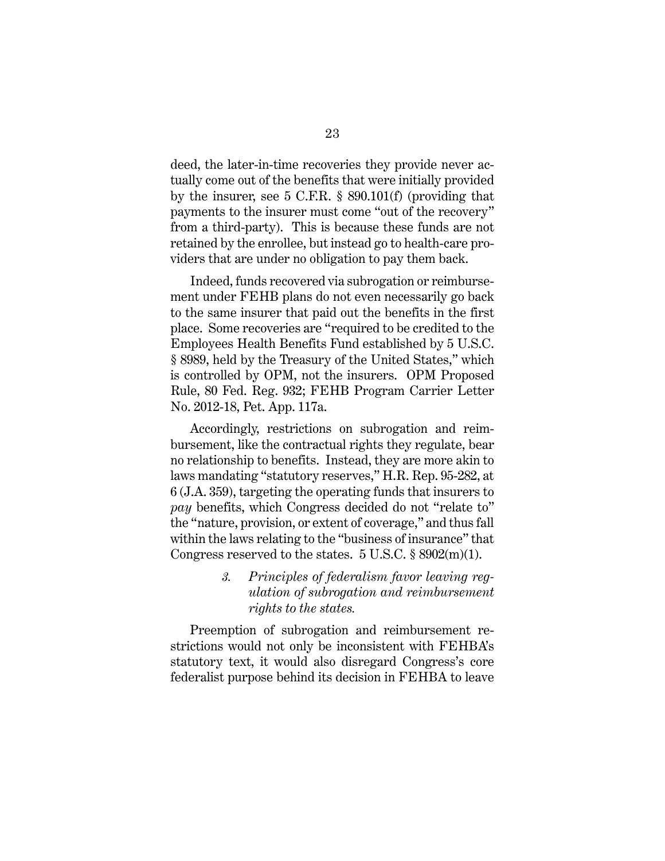deed, the later-in-time recoveries they provide never actually come out of the benefits that were initially provided by the insurer, see 5 C.F.R. § 890.101(f) (providing that payments to the insurer must come "out of the recovery" from a third-party). This is because these funds are not retained by the enrollee, but instead go to health-care providers that are under no obligation to pay them back.

Indeed, funds recovered via subrogation or reimbursement under FEHB plans do not even necessarily go back to the same insurer that paid out the benefits in the first place. Some recoveries are "required to be credited to the Employees Health Benefits Fund established by 5 U.S.C. § 8989, held by the Treasury of the United States," which is controlled by OPM, not the insurers. OPM Proposed Rule, 80 Fed. Reg. 932; FEHB Program Carrier Letter No. 2012-18, Pet. App. 117a.

Accordingly, restrictions on subrogation and reimbursement, like the contractual rights they regulate, bear no relationship to benefits. Instead, they are more akin to laws mandating "statutory reserves," H.R. Rep. 95-282, at 6 (J.A. 359), targeting the operating funds that insurers to *pay* benefits, which Congress decided do not "relate to" the "nature, provision, or extent of coverage," and thus fall within the laws relating to the "business of insurance" that Congress reserved to the states.  $5 \text{ U.S.C.} \$   $8902(m)(1)$ .

> <span id="page-32-0"></span>*3. Principles of federalism favor leaving regulation of subrogation and reimbursement rights to the states.*

Preemption of subrogation and reimbursement restrictions would not only be inconsistent with FEHBA's statutory text, it would also disregard Congress's core federalist purpose behind its decision in FEHBA to leave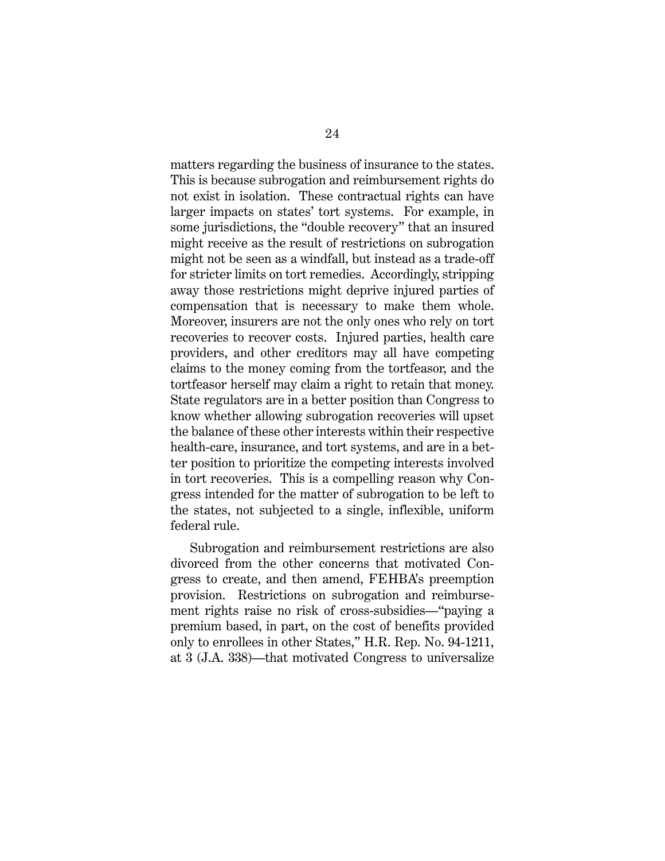matters regarding the business of insurance to the states. This is because subrogation and reimbursement rights do not exist in isolation. These contractual rights can have larger impacts on states' tort systems. For example, in some jurisdictions, the "double recovery" that an insured might receive as the result of restrictions on subrogation might not be seen as a windfall, but instead as a trade-off for stricter limits on tort remedies. Accordingly, stripping away those restrictions might deprive injured parties of compensation that is necessary to make them whole. Moreover, insurers are not the only ones who rely on tort recoveries to recover costs. Injured parties, health care providers, and other creditors may all have competing claims to the money coming from the tortfeasor, and the tortfeasor herself may claim a right to retain that money. State regulators are in a better position than Congress to know whether allowing subrogation recoveries will upset the balance of these other interests within their respective health-care, insurance, and tort systems, and are in a better position to prioritize the competing interests involved in tort recoveries. This is a compelling reason why Congress intended for the matter of subrogation to be left to the states, not subjected to a single, inflexible, uniform federal rule.

Subrogation and reimbursement restrictions are also divorced from the other concerns that motivated Congress to create, and then amend, FEHBA's preemption provision. Restrictions on subrogation and reimbursement rights raise no risk of cross-subsidies—"paying a premium based, in part, on the cost of benefits provided only to enrollees in other States," H.R. Rep. No. 94-1211, at 3 (J.A. 338)—that motivated Congress to universalize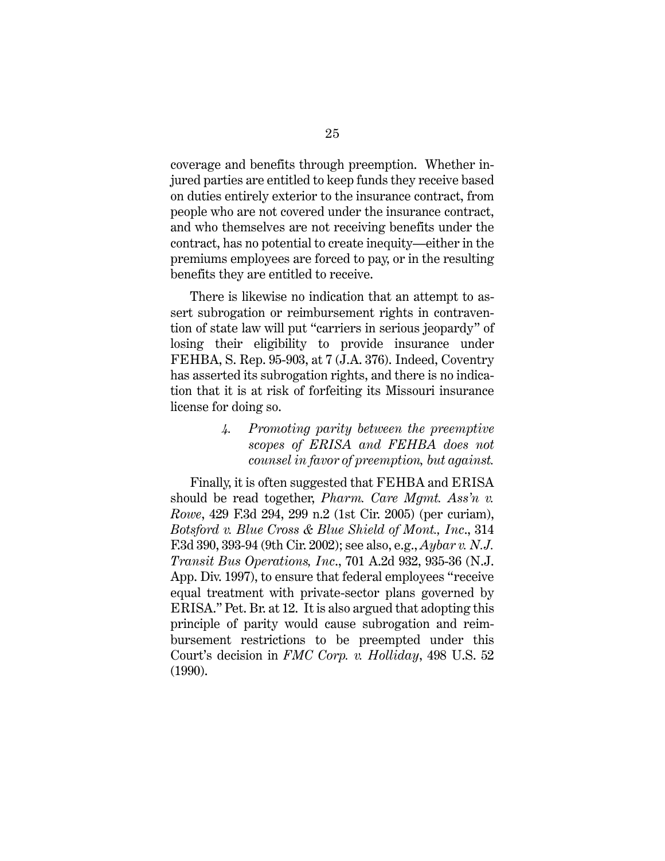coverage and benefits through preemption. Whether injured parties are entitled to keep funds they receive based on duties entirely exterior to the insurance contract, from people who are not covered under the insurance contract, and who themselves are not receiving benefits under the contract, has no potential to create inequity—either in the premiums employees are forced to pay, or in the resulting benefits they are entitled to receive.

There is likewise no indication that an attempt to assert subrogation or reimbursement rights in contravention of state law will put "carriers in serious jeopardy" of losing their eligibility to provide insurance under FEHBA, S. Rep. 95-903, at 7 (J.A. 376). Indeed, Coventry has asserted its subrogation rights, and there is no indication that it is at risk of forfeiting its Missouri insurance license for doing so.

> <span id="page-34-0"></span>*4. Promoting parity between the preemptive scopes of ERISA and FEHBA does not counsel in favor of preemption, but against.*

Finally, it is often suggested that FEHBA and ERISA should be read together, *Pharm. Care Mgmt. Ass'n v. Rowe*, 429 F.3d 294, 299 n.2 (1st Cir. 2005) (per curiam), *Botsford v. Blue Cross & Blue Shield of Mont., Inc*., 314 F.3d 390, 393-94 (9th Cir. 2002); see also, e.g., *Aybar v. N.J. Transit Bus Operations, Inc*., 701 A.2d 932, 935-36 (N.J. App. Div. 1997), to ensure that federal employees "receive equal treatment with private-sector plans governed by ERISA." Pet. Br. at 12. It is also argued that adopting this principle of parity would cause subrogation and reimbursement restrictions to be preempted under this Court's decision in *FMC Corp. v. Holliday*, 498 U.S. 52 (1990).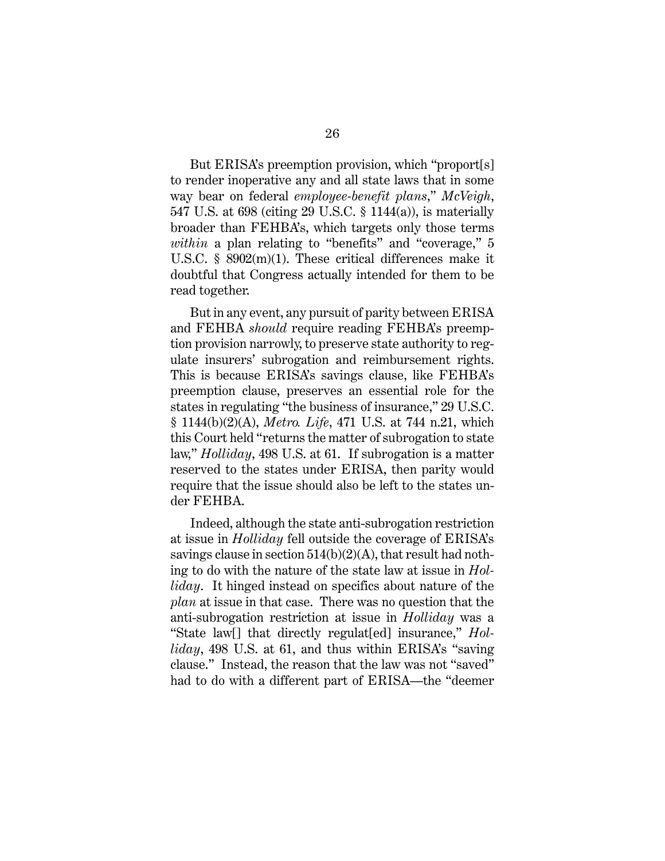But ERISA's preemption provision, which "proport[s] to render inoperative any and all state laws that in some way bear on federal *employee-benefit plans*," *McVeigh*, 547 U.S. at 698 (citing 29 U.S.C. § 1144(a)), is materially broader than FEHBA's, which targets only those terms *within* a plan relating to "benefits" and "coverage," 5 U.S.C. § 8902(m)(1). These critical differences make it doubtful that Congress actually intended for them to be read together.

But in any event, any pursuit of parity between ERISA and FEHBA *should* require reading FEHBA's preemption provision narrowly, to preserve state authority to regulate insurers' subrogation and reimbursement rights. This is because ERISA's savings clause, like FEHBA's preemption clause, preserves an essential role for the states in regulating "the business of insurance," 29 U.S.C. § 1144(b)(2)(A), *Metro. Life*, 471 U.S. at 744 n.21, which this Court held "returns the matter of subrogation to state law," *Holliday*, 498 U.S. at 61. If subrogation is a matter reserved to the states under ERISA, then parity would require that the issue should also be left to the states under FEHBA.

Indeed, although the state anti-subrogation restriction at issue in *Holliday* fell outside the coverage of ERISA's savings clause in section  $514(b)(2)(A)$ , that result had nothing to do with the nature of the state law at issue in *Holliday*. It hinged instead on specifics about nature of the *plan* at issue in that case. There was no question that the anti-subrogation restriction at issue in *Holliday* was a "State law[] that directly regulat[ed] insurance," *Holliday*, 498 U.S. at 61, and thus within ERISA's "saving clause." Instead, the reason that the law was not "saved" had to do with a different part of ERISA—the "deemer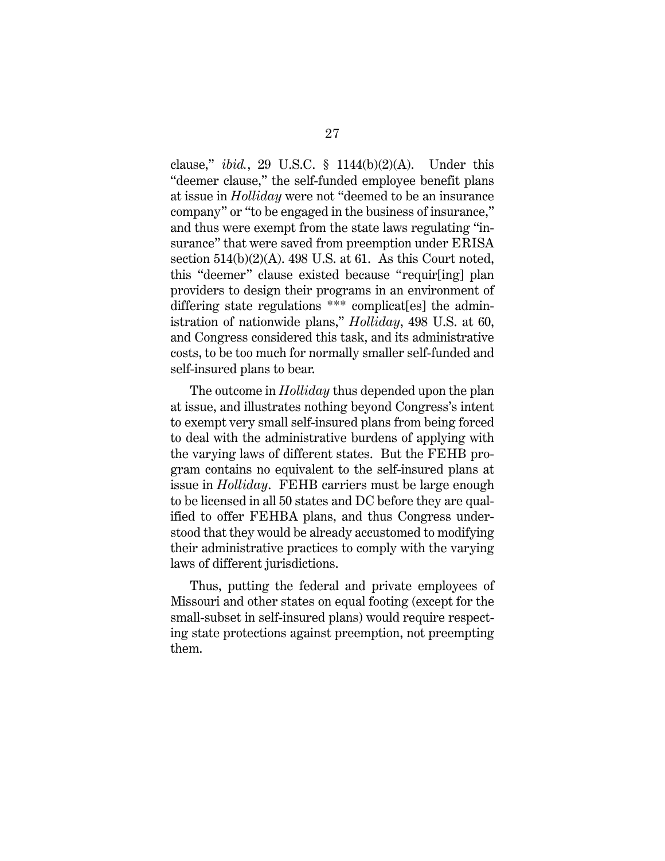clause," *ibid.*, 29 U.S.C. § 1144(b)(2)(A). Under this "deemer clause," the self-funded employee benefit plans at issue in *Holliday* were not "deemed to be an insurance company" or "to be engaged in the business of insurance," and thus were exempt from the state laws regulating "insurance" that were saved from preemption under ERISA section  $514(b)(2)(A)$ . 498 U.S. at 61. As this Court noted, this "deemer" clause existed because "requir[ing] plan providers to design their programs in an environment of differing state regulations \*\*\* complicat[es] the administration of nationwide plans," *Holliday*, 498 U.S. at 60, and Congress considered this task, and its administrative costs, to be too much for normally smaller self-funded and self-insured plans to bear.

The outcome in *Holliday* thus depended upon the plan at issue, and illustrates nothing beyond Congress's intent to exempt very small self-insured plans from being forced to deal with the administrative burdens of applying with the varying laws of different states. But the FEHB program contains no equivalent to the self-insured plans at issue in *Holliday*. FEHB carriers must be large enough to be licensed in all 50 states and DC before they are qualified to offer FEHBA plans, and thus Congress understood that they would be already accustomed to modifying their administrative practices to comply with the varying laws of different jurisdictions.

Thus, putting the federal and private employees of Missouri and other states on equal footing (except for the small-subset in self-insured plans) would require respecting state protections against preemption, not preempting them.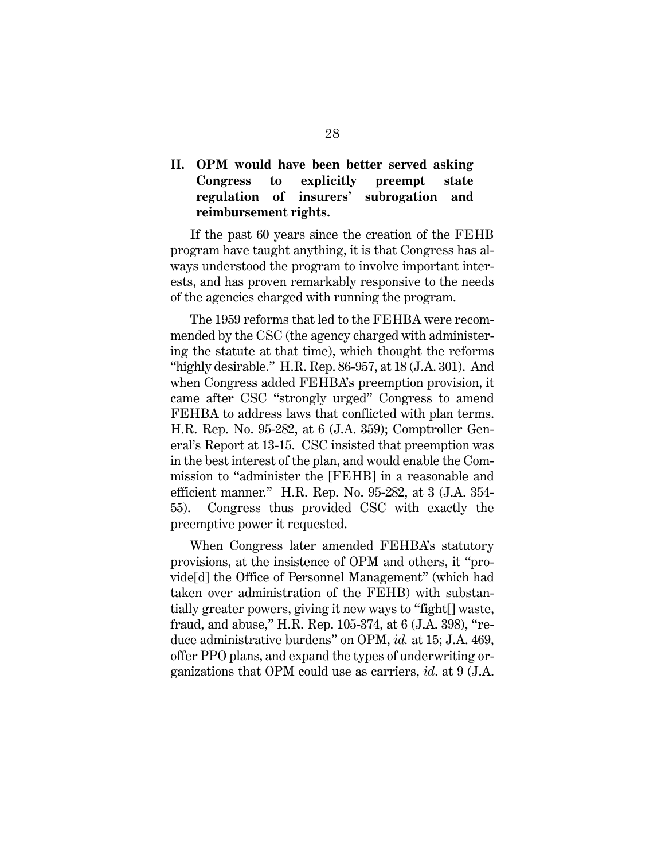### <span id="page-37-0"></span>**II. OPM would have been better served asking Congress to explicitly preempt state regulation of insurers' subrogation and reimbursement rights.**

If the past 60 years since the creation of the FEHB program have taught anything, it is that Congress has always understood the program to involve important interests, and has proven remarkably responsive to the needs of the agencies charged with running the program.

The 1959 reforms that led to the FEHBA were recommended by the CSC (the agency charged with administering the statute at that time), which thought the reforms "highly desirable." H.R. Rep. 86-957, at 18 (J.A. 301). And when Congress added FEHBA's preemption provision, it came after CSC "strongly urged" Congress to amend FEHBA to address laws that conflicted with plan terms. H.R. Rep. No. 95-282, at 6 (J.A. 359); Comptroller General's Report at 13-15. CSC insisted that preemption was in the best interest of the plan, and would enable the Commission to "administer the [FEHB] in a reasonable and efficient manner." H.R. Rep. No. 95-282, at 3 (J.A. 354- 55). Congress thus provided CSC with exactly the preemptive power it requested.

When Congress later amended FEHBA's statutory provisions, at the insistence of OPM and others, it "provide[d] the Office of Personnel Management" (which had taken over administration of the FEHB) with substantially greater powers, giving it new ways to "fight[] waste, fraud, and abuse," H.R. Rep. 105-374, at 6 (J.A. 398), "reduce administrative burdens" on OPM, *id.* at 15; J.A. 469, offer PPO plans, and expand the types of underwriting organizations that OPM could use as carriers, *id*. at 9 (J.A.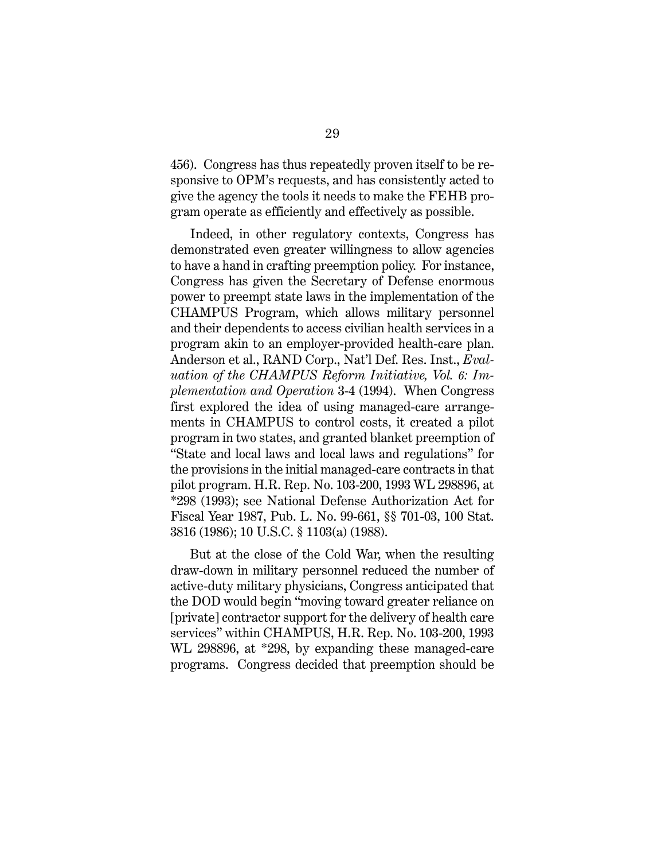456). Congress has thus repeatedly proven itself to be responsive to OPM's requests, and has consistently acted to give the agency the tools it needs to make the FEHB program operate as efficiently and effectively as possible.

Indeed, in other regulatory contexts, Congress has demonstrated even greater willingness to allow agencies to have a hand in crafting preemption policy. For instance, Congress has given the Secretary of Defense enormous power to preempt state laws in the implementation of the CHAMPUS Program, which allows military personnel and their dependents to access civilian health services in a program akin to an employer-provided health-care plan. Anderson et al., RAND Corp., Nat'l Def. Res. Inst., *Evaluation of the CHAMPUS Reform Initiative, Vol. 6: Implementation and Operation* 3-4 (1994). When Congress first explored the idea of using managed-care arrangements in CHAMPUS to control costs, it created a pilot program in two states, and granted blanket preemption of "State and local laws and local laws and regulations" for the provisions in the initial managed-care contracts in that pilot program. H.R. Rep. No. 103-200, 1993 WL 298896, at \*298 (1993); see National Defense Authorization Act for Fiscal Year 1987, Pub. L. No. 99-661, §§ 701-03, 100 Stat. 3816 (1986); 10 U.S.C. § 1103(a) (1988).

<span id="page-38-0"></span>But at the close of the Cold War, when the resulting draw-down in military personnel reduced the number of active-duty military physicians, Congress anticipated that the DOD would begin "moving toward greater reliance on [private] contractor support for the delivery of health care services" within CHAMPUS, H.R. Rep. No. 103-200, 1993 WL 298896, at \*298, by expanding these managed-care programs. Congress decided that preemption should be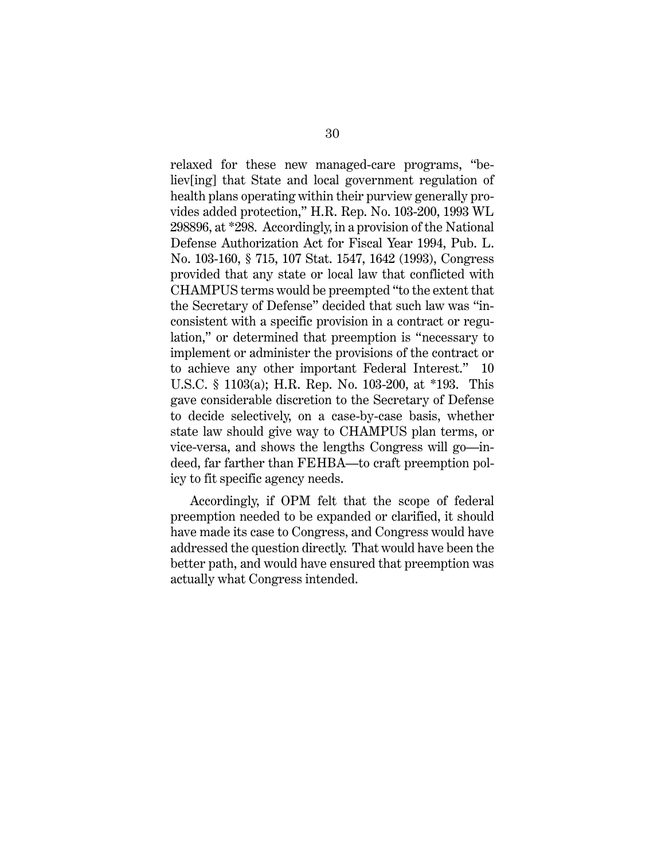relaxed for these new managed-care programs, "believ[ing] that State and local government regulation of health plans operating within their purview generally provides added protection," H.R. Rep. No. 103-200, 1993 WL 298896, at \*298. Accordingly, in a provision of the National Defense Authorization Act for Fiscal Year 1994, Pub. L. No. 103-160, § 715, 107 Stat. 1547, 1642 (1993), Congress provided that any state or local law that conflicted with CHAMPUS terms would be preempted "to the extent that the Secretary of Defense" decided that such law was "inconsistent with a specific provision in a contract or regulation," or determined that preemption is "necessary to implement or administer the provisions of the contract or to achieve any other important Federal Interest." 10 U.S.C. § 1103(a); H.R. Rep. No. 103-200, at \*193. This gave considerable discretion to the Secretary of Defense to decide selectively, on a case-by-case basis, whether state law should give way to CHAMPUS plan terms, or vice-versa, and shows the lengths Congress will go—indeed, far farther than FEHBA—to craft preemption policy to fit specific agency needs.

Accordingly, if OPM felt that the scope of federal preemption needed to be expanded or clarified, it should have made its case to Congress, and Congress would have addressed the question directly. That would have been the better path, and would have ensured that preemption was actually what Congress intended.